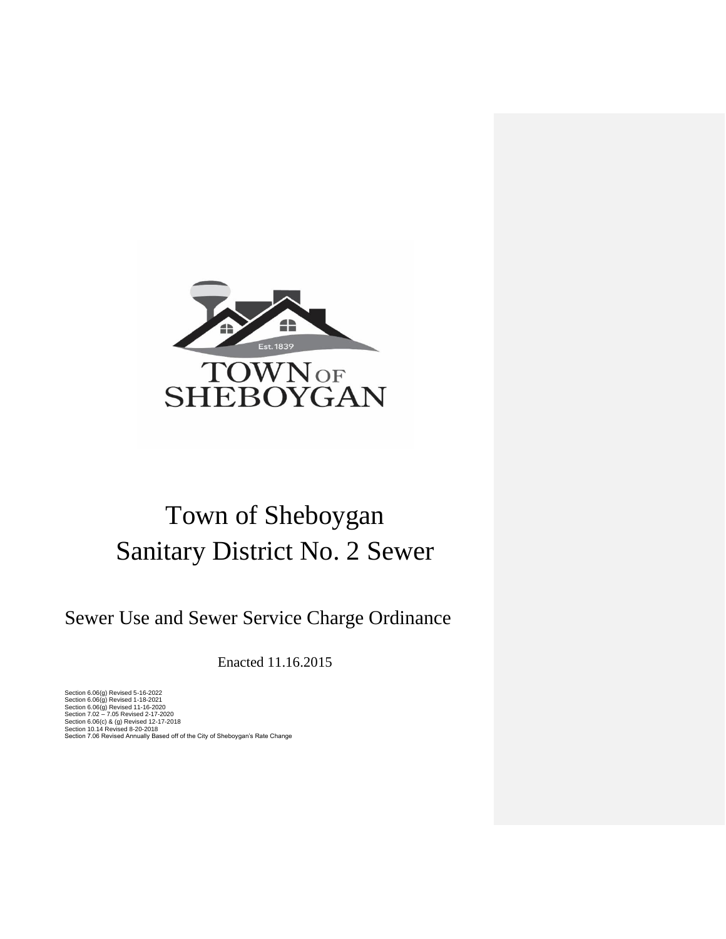

# Town of Sheboygan Sanitary District No. 2 Sewer

Sewer Use and Sewer Service Charge Ordinance

Enacted 11.16.2015

Section 6.06(g) Revised 5-16-2022<br>Section 6.06(g) Revised 1-18-2022<br>Section 6.06(g) Revised 11-16-2020<br>Section 6.06(g) Revised 11-16-2020<br>Section 10.14 Revised 4.2-17-20120<br>Section 7.06 Revised Annually Based off of the Ci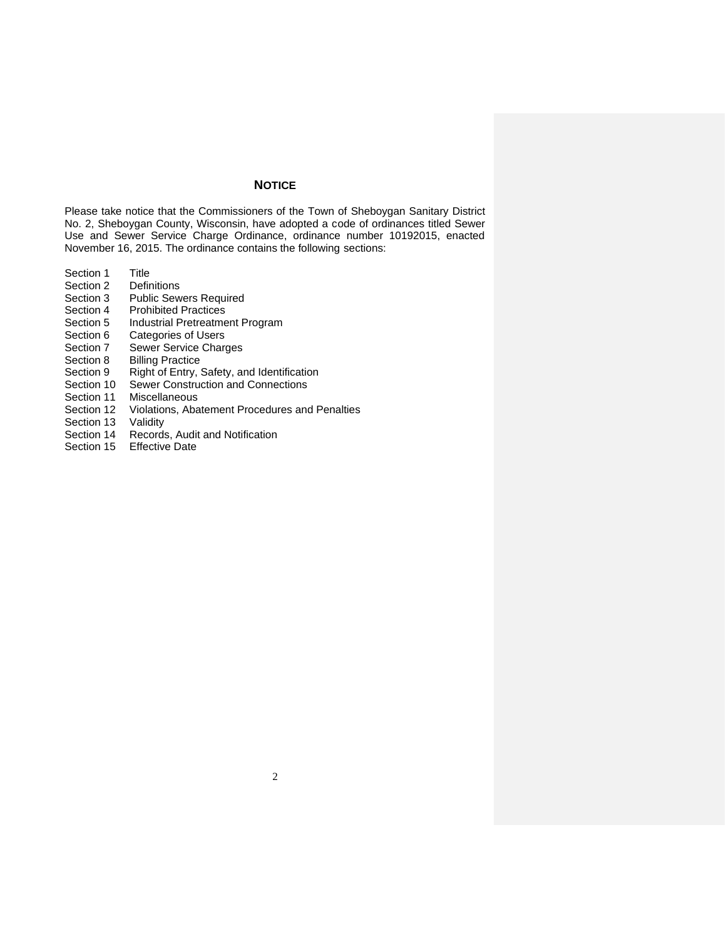# **NOTICE**

Please take notice that the Commissioners of the Town of Sheboygan Sanitary District No. 2, Sheboygan County, Wisconsin, have adopted a code of ordinances titled Sewer Use and Sewer Service Charge Ordinance, ordinance number 10192015, enacted November 16, 2015. The ordinance contains the following sections:

- Section 1 Title
- Section 2 Definitions
- Section 3 Public Sewers Required
- Section 4 Prohibited Practices
- Section 5 Industrial Pretreatment Program
- Section 6 Categories of Users
- Section 7 Sewer Service Charges
- Section 8 Billing Practice
- Section 9 Right of Entry, Safety, and Identification<br>Section 10 Sewer Construction and Connections
- Section 10 Sewer Construction and Connections<br>Section 11 Miscellaneous
- **Miscellaneous**
- Section 12 Violations, Abatement Procedures and Penalties
- Section 13 Validity
- Section 14 Records, Audit and Notification
- Section 15 Effective Date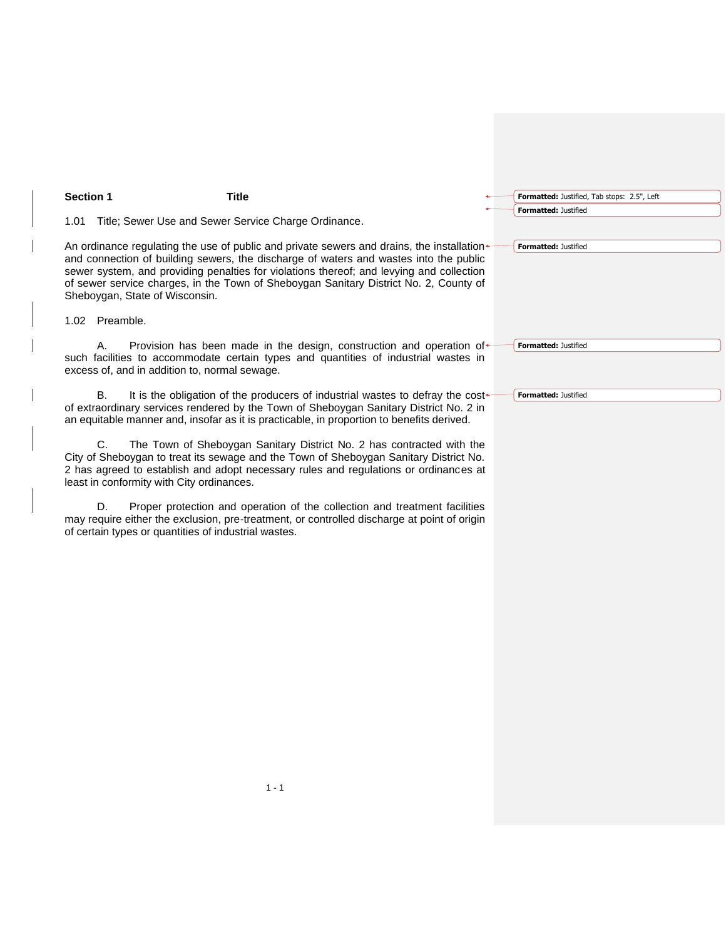# **Section 1 Title**

1.01 Title; Sewer Use and Sewer Service Charge Ordinance.

An ordinance regulating the use of public and private sewers and drains, the installation and connection of building sewers, the discharge of waters and wastes into the public sewer system, and providing penalties for violations thereof; and levying and collection of sewer service charges, in the Town of Sheboygan Sanitary District No. 2, County of Sheboygan, State of Wisconsin.

1.02 Preamble.

A. Provision has been made in the design, construction and operation of such facilities to accommodate certain types and quantities of industrial wastes in excess of, and in addition to, normal sewage.

B. It is the obligation of the producers of industrial wastes to defray the costof extraordinary services rendered by the Town of Sheboygan Sanitary District No. 2 in an equitable manner and, insofar as it is practicable, in proportion to benefits derived.

C. The Town of Sheboygan Sanitary District No. 2 has contracted with the City of Sheboygan to treat its sewage and the Town of Sheboygan Sanitary District No. 2 has agreed to establish and adopt necessary rules and regulations or ordinances at least in conformity with City ordinances.

D. Proper protection and operation of the collection and treatment facilities may require either the exclusion, pre-treatment, or controlled discharge at point of origin of certain types or quantities of industrial wastes.

| Formatted: Justified, Tab stops: 2.5", Left |
|---------------------------------------------|
| Formatted: Justified                        |

**Formatted:** Justified

**Formatted:** Justified

**Formatted:** Justified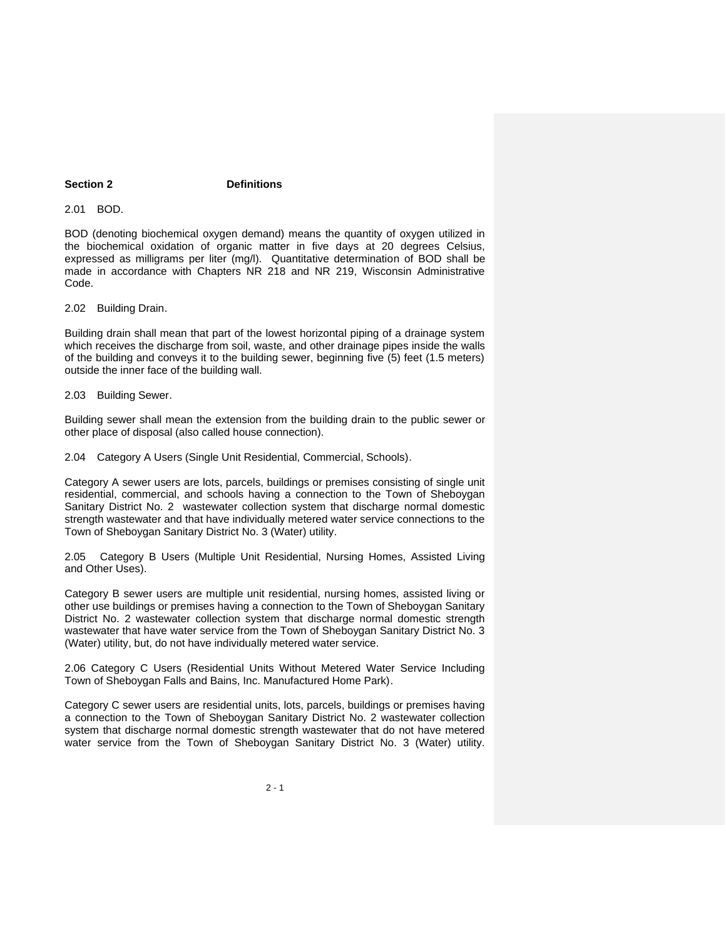### **Section 2 Definitions**

2.01 BOD.

BOD (denoting biochemical oxygen demand) means the quantity of oxygen utilized in the biochemical oxidation of organic matter in five days at 20 degrees Celsius, expressed as milligrams per liter (mg/l). Quantitative determination of BOD shall be made in accordance with Chapters NR 218 and NR 219, Wisconsin Administrative Code.

2.02 Building Drain.

Building drain shall mean that part of the lowest horizontal piping of a drainage system which receives the discharge from soil, waste, and other drainage pipes inside the walls of the building and conveys it to the building sewer, beginning five (5) feet (1.5 meters) outside the inner face of the building wall.

2.03 Building Sewer.

Building sewer shall mean the extension from the building drain to the public sewer or other place of disposal (also called house connection).

2.04 Category A Users (Single Unit Residential, Commercial, Schools).

Category A sewer users are lots, parcels, buildings or premises consisting of single unit residential, commercial, and schools having a connection to the Town of Sheboygan Sanitary District No. 2 wastewater collection system that discharge normal domestic strength wastewater and that have individually metered water service connections to the Town of Sheboygan Sanitary District No. 3 (Water) utility.

2.05 Category B Users (Multiple Unit Residential, Nursing Homes, Assisted Living and Other Uses).

Category B sewer users are multiple unit residential, nursing homes, assisted living or other use buildings or premises having a connection to the Town of Sheboygan Sanitary District No. 2 wastewater collection system that discharge normal domestic strength wastewater that have water service from the Town of Sheboygan Sanitary District No. 3 (Water) utility, but, do not have individually metered water service.

2.06 Category C Users (Residential Units Without Metered Water Service Including Town of Sheboygan Falls and Bains, Inc. Manufactured Home Park).

Category C sewer users are residential units, lots, parcels, buildings or premises having a connection to the Town of Sheboygan Sanitary District No. 2 wastewater collection system that discharge normal domestic strength wastewater that do not have metered water service from the Town of Sheboygan Sanitary District No. 3 (Water) utility.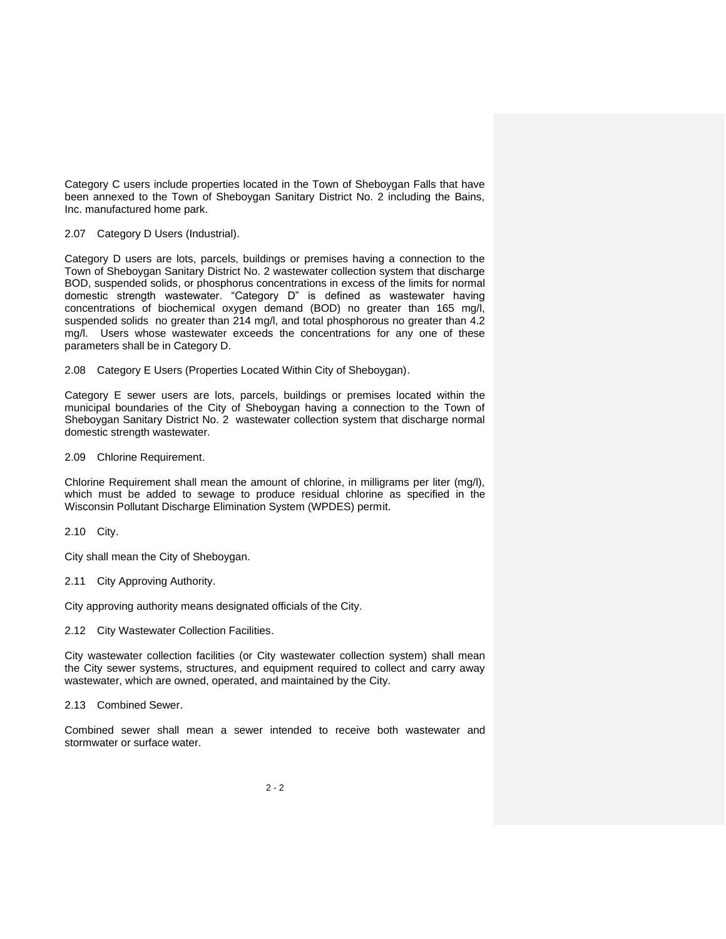Category C users include properties located in the Town of Sheboygan Falls that have been annexed to the Town of Sheboygan Sanitary District No. 2 including the Bains, Inc. manufactured home park.

#### 2.07 Category D Users (Industrial).

Category D users are lots, parcels, buildings or premises having a connection to the Town of Sheboygan Sanitary District No. 2 wastewater collection system that discharge BOD, suspended solids, or phosphorus concentrations in excess of the limits for normal domestic strength wastewater. "Category D" is defined as wastewater having concentrations of biochemical oxygen demand (BOD) no greater than 165 mg/l, suspended solids no greater than 214 mg/l, and total phosphorous no greater than 4.2 mg/l. Users whose wastewater exceeds the concentrations for any one of these parameters shall be in Category D.

2.08 Category E Users (Properties Located Within City of Sheboygan).

Category E sewer users are lots, parcels, buildings or premises located within the municipal boundaries of the City of Sheboygan having a connection to the Town of Sheboygan Sanitary District No. 2 wastewater collection system that discharge normal domestic strength wastewater.

2.09 Chlorine Requirement.

Chlorine Requirement shall mean the amount of chlorine, in milligrams per liter (mg/l), which must be added to sewage to produce residual chlorine as specified in the Wisconsin Pollutant Discharge Elimination System (WPDES) permit.

2.10 City.

City shall mean the City of Sheboygan.

2.11 City Approving Authority.

City approving authority means designated officials of the City.

2.12 City Wastewater Collection Facilities.

City wastewater collection facilities (or City wastewater collection system) shall mean the City sewer systems, structures, and equipment required to collect and carry away wastewater, which are owned, operated, and maintained by the City.

2.13 Combined Sewer.

Combined sewer shall mean a sewer intended to receive both wastewater and stormwater or surface water.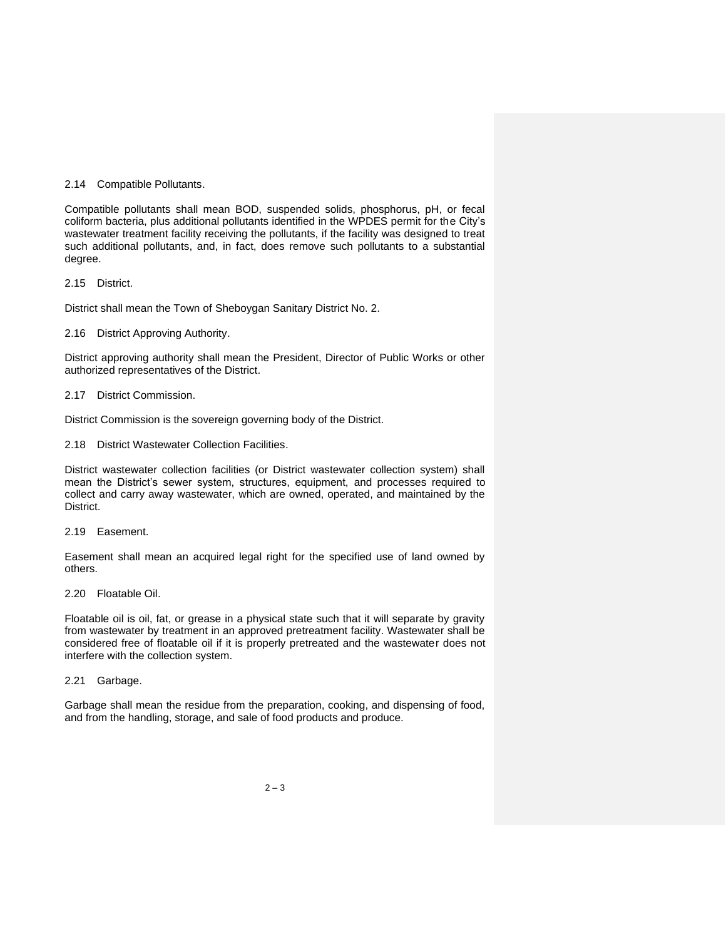#### 2.14 Compatible Pollutants.

Compatible pollutants shall mean BOD, suspended solids, phosphorus, pH, or fecal coliform bacteria, plus additional pollutants identified in the WPDES permit for the City's wastewater treatment facility receiving the pollutants, if the facility was designed to treat such additional pollutants, and, in fact, does remove such pollutants to a substantial degree.

2.15 District.

District shall mean the Town of Sheboygan Sanitary District No. 2.

#### 2.16 District Approving Authority.

District approving authority shall mean the President, Director of Public Works or other authorized representatives of the District.

#### 2.17 District Commission.

District Commission is the sovereign governing body of the District.

2.18 District Wastewater Collection Facilities.

District wastewater collection facilities (or District wastewater collection system) shall mean the District's sewer system, structures, equipment, and processes required to collect and carry away wastewater, which are owned, operated, and maintained by the District.

2.19 Easement.

Easement shall mean an acquired legal right for the specified use of land owned by others.

2.20 Floatable Oil.

Floatable oil is oil, fat, or grease in a physical state such that it will separate by gravity from wastewater by treatment in an approved pretreatment facility. Wastewater shall be considered free of floatable oil if it is properly pretreated and the wastewater does not interfere with the collection system.

2.21 Garbage.

Garbage shall mean the residue from the preparation, cooking, and dispensing of food, and from the handling, storage, and sale of food products and produce.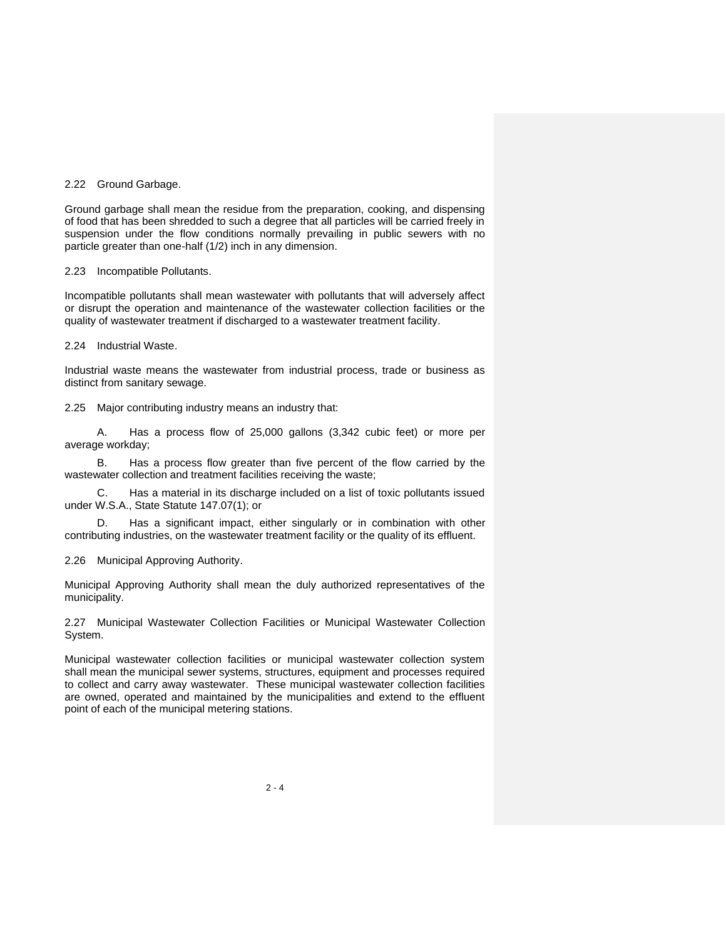#### 2.22 Ground Garbage.

Ground garbage shall mean the residue from the preparation, cooking, and dispensing of food that has been shredded to such a degree that all particles will be carried freely in suspension under the flow conditions normally prevailing in public sewers with no particle greater than one-half (1/2) inch in any dimension.

2.23 Incompatible Pollutants.

Incompatible pollutants shall mean wastewater with pollutants that will adversely affect or disrupt the operation and maintenance of the wastewater collection facilities or the quality of wastewater treatment if discharged to a wastewater treatment facility.

2.24 Industrial Waste.

Industrial waste means the wastewater from industrial process, trade or business as distinct from sanitary sewage.

2.25 Major contributing industry means an industry that:

A. Has a process flow of 25,000 gallons (3,342 cubic feet) or more per average workday;

B. Has a process flow greater than five percent of the flow carried by the wastewater collection and treatment facilities receiving the waste;

C. Has a material in its discharge included on a list of toxic pollutants issued under W.S.A., State Statute 147.07(1); or

D. Has a significant impact, either singularly or in combination with other contributing industries, on the wastewater treatment facility or the quality of its effluent.

2.26 Municipal Approving Authority.

Municipal Approving Authority shall mean the duly authorized representatives of the municipality.

2.27 Municipal Wastewater Collection Facilities or Municipal Wastewater Collection System.

Municipal wastewater collection facilities or municipal wastewater collection system shall mean the municipal sewer systems, structures, equipment and processes required to collect and carry away wastewater. These municipal wastewater collection facilities are owned, operated and maintained by the municipalities and extend to the effluent point of each of the municipal metering stations.

 $2 - 4$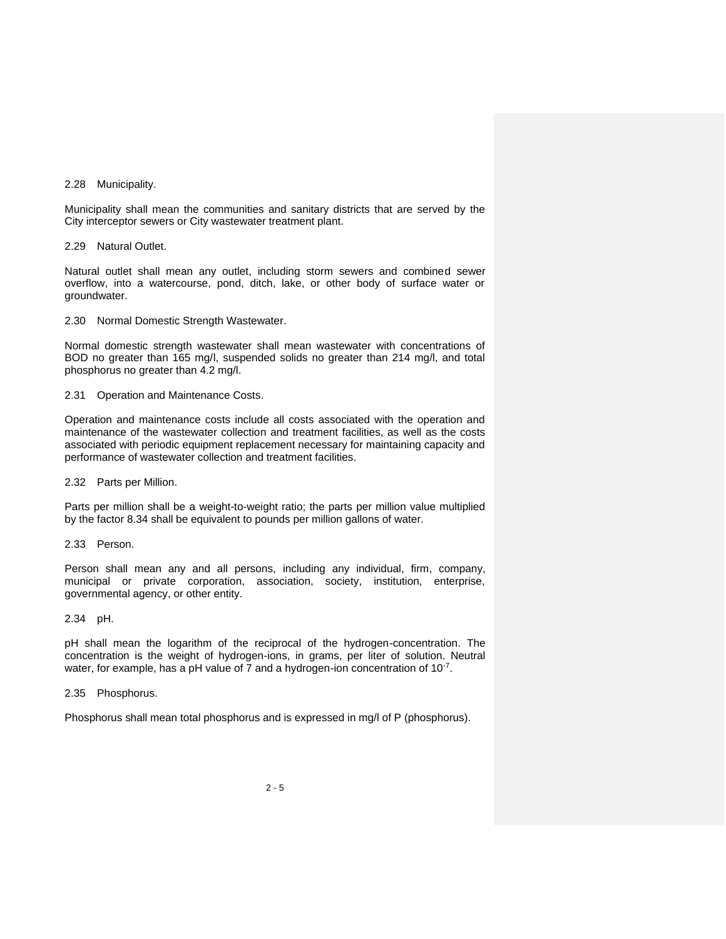#### 2.28 Municipality.

Municipality shall mean the communities and sanitary districts that are served by the City interceptor sewers or City wastewater treatment plant.

2.29 Natural Outlet.

Natural outlet shall mean any outlet, including storm sewers and combined sewer overflow, into a watercourse, pond, ditch, lake, or other body of surface water or groundwater.

2.30 Normal Domestic Strength Wastewater.

Normal domestic strength wastewater shall mean wastewater with concentrations of BOD no greater than 165 mg/l, suspended solids no greater than 214 mg/l, and total phosphorus no greater than 4.2 mg/l.

2.31 Operation and Maintenance Costs.

Operation and maintenance costs include all costs associated with the operation and maintenance of the wastewater collection and treatment facilities, as well as the costs associated with periodic equipment replacement necessary for maintaining capacity and performance of wastewater collection and treatment facilities.

2.32 Parts per Million.

Parts per million shall be a weight-to-weight ratio; the parts per million value multiplied by the factor 8.34 shall be equivalent to pounds per million gallons of water.

2.33 Person.

Person shall mean any and all persons, including any individual, firm, company, municipal or private corporation, association, society, institution, enterprise, governmental agency, or other entity.

2.34 pH.

pH shall mean the logarithm of the reciprocal of the hydrogen-concentration. The concentration is the weight of hydrogen-ions, in grams, per liter of solution. Neutral water, for example, has a pH value of 7 and a hydrogen-ion concentration of 10<sup>-7</sup>.

2.35 Phosphorus.

Phosphorus shall mean total phosphorus and is expressed in mg/l of P (phosphorus).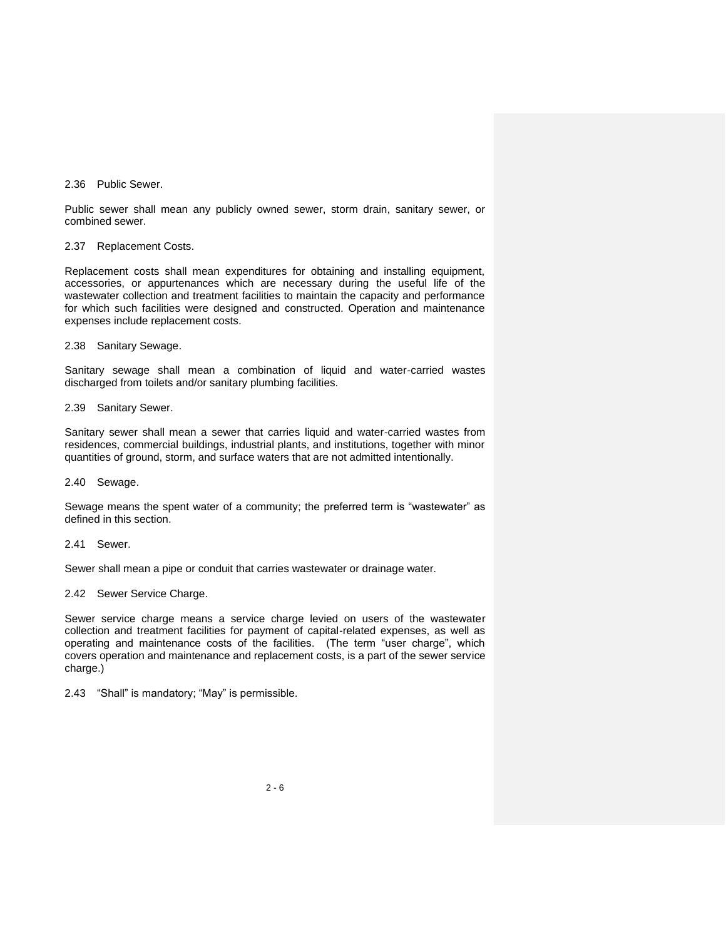#### 2.36 Public Sewer.

Public sewer shall mean any publicly owned sewer, storm drain, sanitary sewer, or combined sewer.

2.37 Replacement Costs.

Replacement costs shall mean expenditures for obtaining and installing equipment, accessories, or appurtenances which are necessary during the useful life of the wastewater collection and treatment facilities to maintain the capacity and performance for which such facilities were designed and constructed. Operation and maintenance expenses include replacement costs.

2.38 Sanitary Sewage.

Sanitary sewage shall mean a combination of liquid and water-carried wastes discharged from toilets and/or sanitary plumbing facilities.

2.39 Sanitary Sewer.

Sanitary sewer shall mean a sewer that carries liquid and water-carried wastes from residences, commercial buildings, industrial plants, and institutions, together with minor quantities of ground, storm, and surface waters that are not admitted intentionally.

2.40 Sewage.

Sewage means the spent water of a community; the preferred term is "wastewater" as defined in this section.

2.41 Sewer.

Sewer shall mean a pipe or conduit that carries wastewater or drainage water.

2.42 Sewer Service Charge.

Sewer service charge means a service charge levied on users of the wastewater collection and treatment facilities for payment of capital-related expenses, as well as operating and maintenance costs of the facilities. (The term "user charge", which covers operation and maintenance and replacement costs, is a part of the sewer service charge.)

2.43 "Shall" is mandatory; "May" is permissible.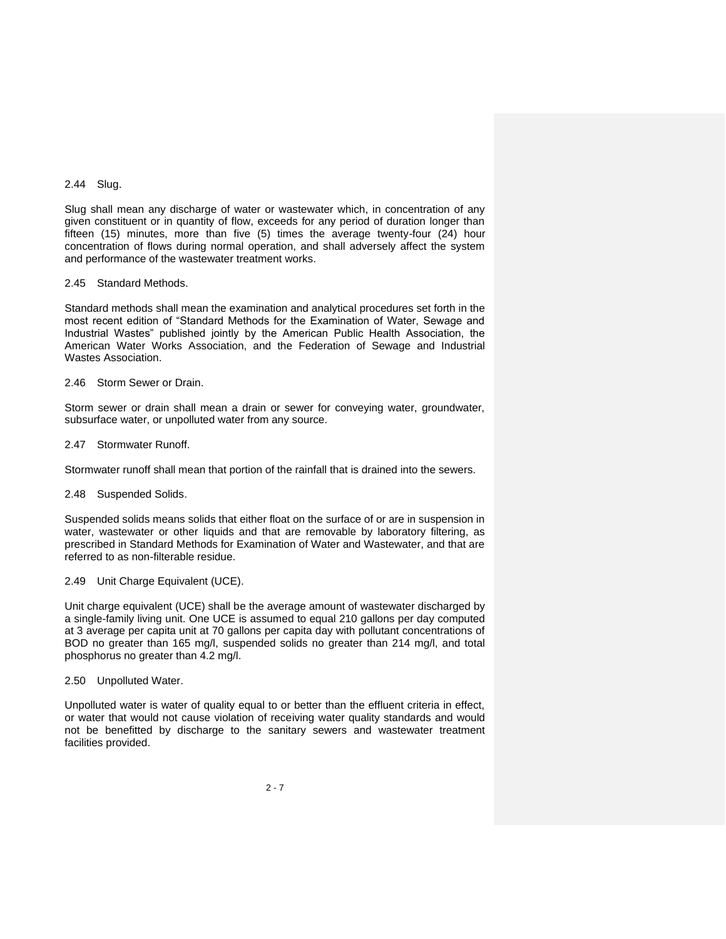### 2.44 Slug.

Slug shall mean any discharge of water or wastewater which, in concentration of any given constituent or in quantity of flow, exceeds for any period of duration longer than fifteen (15) minutes, more than five (5) times the average twenty-four  $(24)$  hour concentration of flows during normal operation, and shall adversely affect the system and performance of the wastewater treatment works.

#### 2.45 Standard Methods.

Standard methods shall mean the examination and analytical procedures set forth in the most recent edition of "Standard Methods for the Examination of Water, Sewage and Industrial Wastes" published jointly by the American Public Health Association, the American Water Works Association, and the Federation of Sewage and Industrial Wastes Association.

#### 2.46 Storm Sewer or Drain.

Storm sewer or drain shall mean a drain or sewer for conveying water, groundwater, subsurface water, or unpolluted water from any source.

#### 2.47 Stormwater Runoff.

Stormwater runoff shall mean that portion of the rainfall that is drained into the sewers.

#### 2.48 Suspended Solids.

Suspended solids means solids that either float on the surface of or are in suspension in water, wastewater or other liquids and that are removable by laboratory filtering, as prescribed in Standard Methods for Examination of Water and Wastewater, and that are referred to as non-filterable residue.

#### 2.49 Unit Charge Equivalent (UCE).

Unit charge equivalent (UCE) shall be the average amount of wastewater discharged by a single-family living unit. One UCE is assumed to equal 210 gallons per day computed at 3 average per capita unit at 70 gallons per capita day with pollutant concentrations of BOD no greater than 165 mg/l, suspended solids no greater than 214 mg/l, and total phosphorus no greater than 4.2 mg/l.

#### 2.50 Unpolluted Water.

Unpolluted water is water of quality equal to or better than the effluent criteria in effect, or water that would not cause violation of receiving water quality standards and would not be benefitted by discharge to the sanitary sewers and wastewater treatment facilities provided.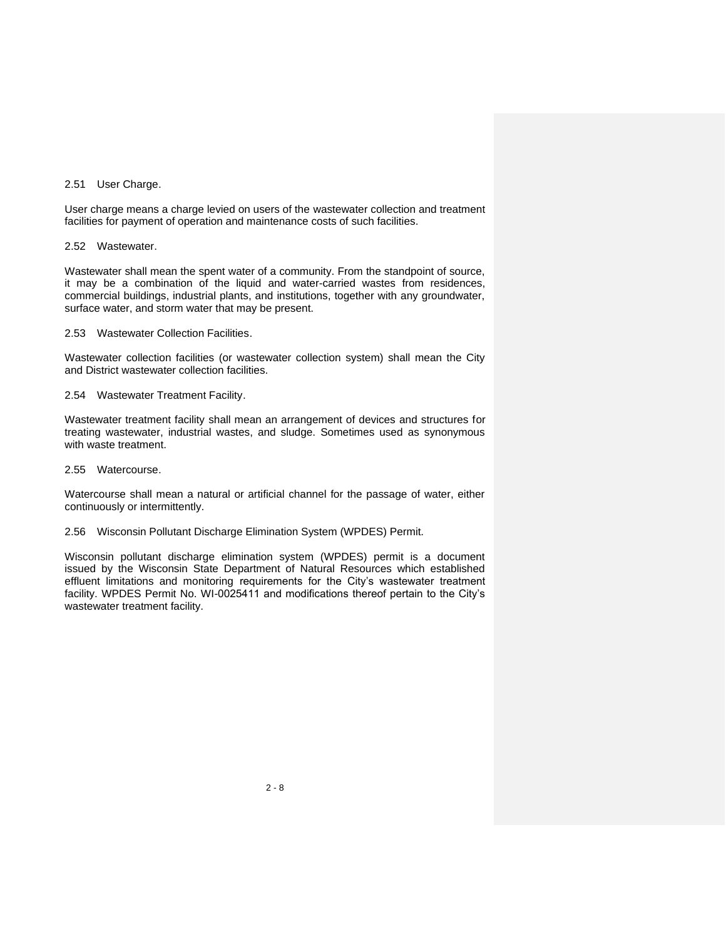#### 2.51 User Charge.

User charge means a charge levied on users of the wastewater collection and treatment facilities for payment of operation and maintenance costs of such facilities.

2.52 Wastewater.

Wastewater shall mean the spent water of a community. From the standpoint of source, it may be a combination of the liquid and water-carried wastes from residences, commercial buildings, industrial plants, and institutions, together with any groundwater, surface water, and storm water that may be present.

2.53 Wastewater Collection Facilities.

Wastewater collection facilities (or wastewater collection system) shall mean the City and District wastewater collection facilities.

#### 2.54 Wastewater Treatment Facility.

Wastewater treatment facility shall mean an arrangement of devices and structures for treating wastewater, industrial wastes, and sludge. Sometimes used as synonymous with waste treatment.

2.55 Watercourse.

Watercourse shall mean a natural or artificial channel for the passage of water, either continuously or intermittently.

#### 2.56 Wisconsin Pollutant Discharge Elimination System (WPDES) Permit.

Wisconsin pollutant discharge elimination system (WPDES) permit is a document issued by the Wisconsin State Department of Natural Resources which established effluent limitations and monitoring requirements for the City's wastewater treatment facility. WPDES Permit No. WI-0025411 and modifications thereof pertain to the City's wastewater treatment facility.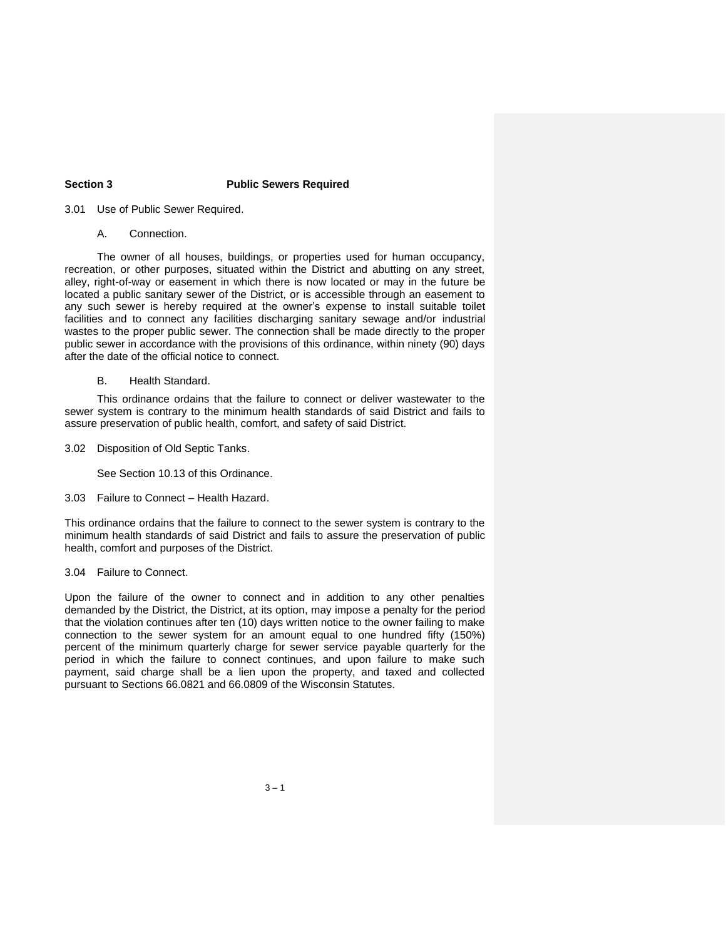# **Section 3 Public Sewers Required**

3.01 Use of Public Sewer Required.

A. Connection.

The owner of all houses, buildings, or properties used for human occupancy, recreation, or other purposes, situated within the District and abutting on any street, alley, right-of-way or easement in which there is now located or may in the future be located a public sanitary sewer of the District, or is accessible through an easement to any such sewer is hereby required at the owner's expense to install suitable toilet facilities and to connect any facilities discharging sanitary sewage and/or industrial wastes to the proper public sewer. The connection shall be made directly to the proper public sewer in accordance with the provisions of this ordinance, within ninety (90) days after the date of the official notice to connect.

B. Health Standard.

This ordinance ordains that the failure to connect or deliver wastewater to the sewer system is contrary to the minimum health standards of said District and fails to assure preservation of public health, comfort, and safety of said District.

3.02 Disposition of Old Septic Tanks.

See Section 10.13 of this Ordinance.

3.03 Failure to Connect – Health Hazard.

This ordinance ordains that the failure to connect to the sewer system is contrary to the minimum health standards of said District and fails to assure the preservation of public health, comfort and purposes of the District.

#### 3.04 Failure to Connect.

Upon the failure of the owner to connect and in addition to any other penalties demanded by the District, the District, at its option, may impose a penalty for the period that the violation continues after ten (10) days written notice to the owner failing to make connection to the sewer system for an amount equal to one hundred fifty (150%) percent of the minimum quarterly charge for sewer service payable quarterly for the period in which the failure to connect continues, and upon failure to make such payment, said charge shall be a lien upon the property, and taxed and collected pursuant to Sections 66.0821 and 66.0809 of the Wisconsin Statutes.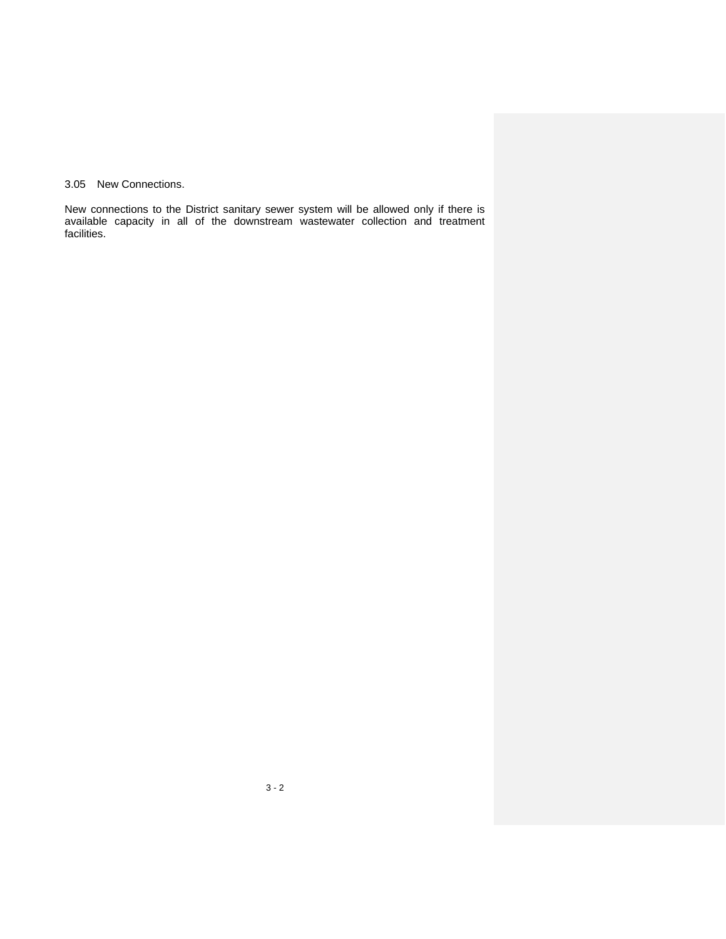3.05 New Connections.

New connections to the District sanitary sewer system will be allowed only if there is available capacity in all of the downstream wastewater collection and treatment facilities.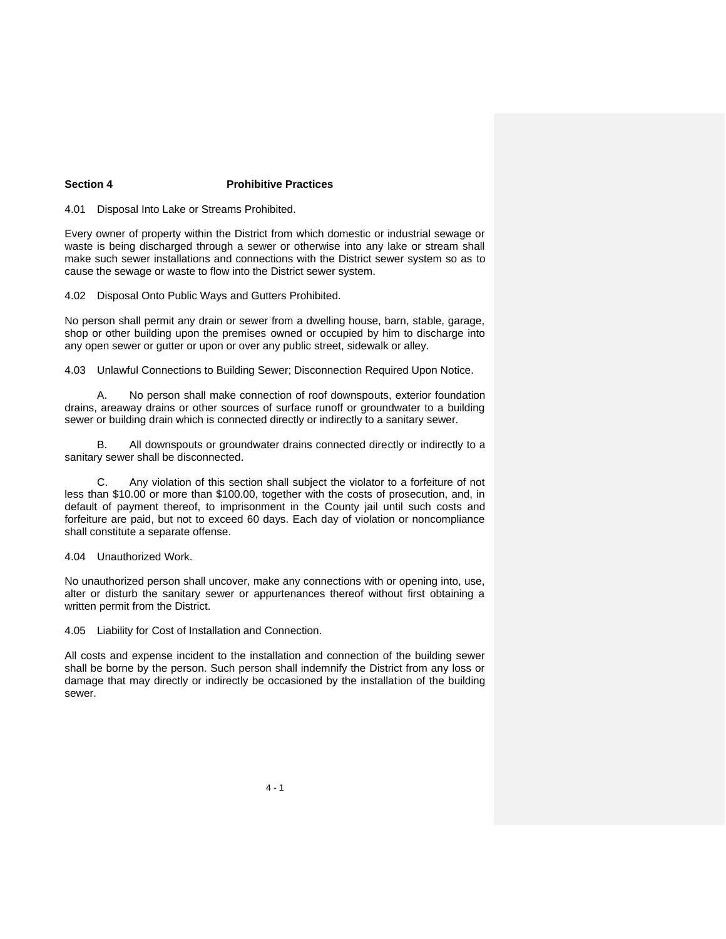# **Section 4 Prohibitive Practices**

4.01 Disposal Into Lake or Streams Prohibited.

Every owner of property within the District from which domestic or industrial sewage or waste is being discharged through a sewer or otherwise into any lake or stream shall make such sewer installations and connections with the District sewer system so as to cause the sewage or waste to flow into the District sewer system.

4.02 Disposal Onto Public Ways and Gutters Prohibited.

No person shall permit any drain or sewer from a dwelling house, barn, stable, garage, shop or other building upon the premises owned or occupied by him to discharge into any open sewer or gutter or upon or over any public street, sidewalk or alley.

4.03 Unlawful Connections to Building Sewer; Disconnection Required Upon Notice.

A. No person shall make connection of roof downspouts, exterior foundation drains, areaway drains or other sources of surface runoff or groundwater to a building sewer or building drain which is connected directly or indirectly to a sanitary sewer.

All downspouts or groundwater drains connected directly or indirectly to a sanitary sewer shall be disconnected.

C. Any violation of this section shall subject the violator to a forfeiture of not less than \$10.00 or more than \$100.00, together with the costs of prosecution, and, in default of payment thereof, to imprisonment in the County jail until such costs and forfeiture are paid, but not to exceed 60 days. Each day of violation or noncompliance shall constitute a separate offense.

4.04 Unauthorized Work.

No unauthorized person shall uncover, make any connections with or opening into, use, alter or disturb the sanitary sewer or appurtenances thereof without first obtaining a written permit from the District.

4.05 Liability for Cost of Installation and Connection.

All costs and expense incident to the installation and connection of the building sewer shall be borne by the person. Such person shall indemnify the District from any loss or damage that may directly or indirectly be occasioned by the installation of the building sewer.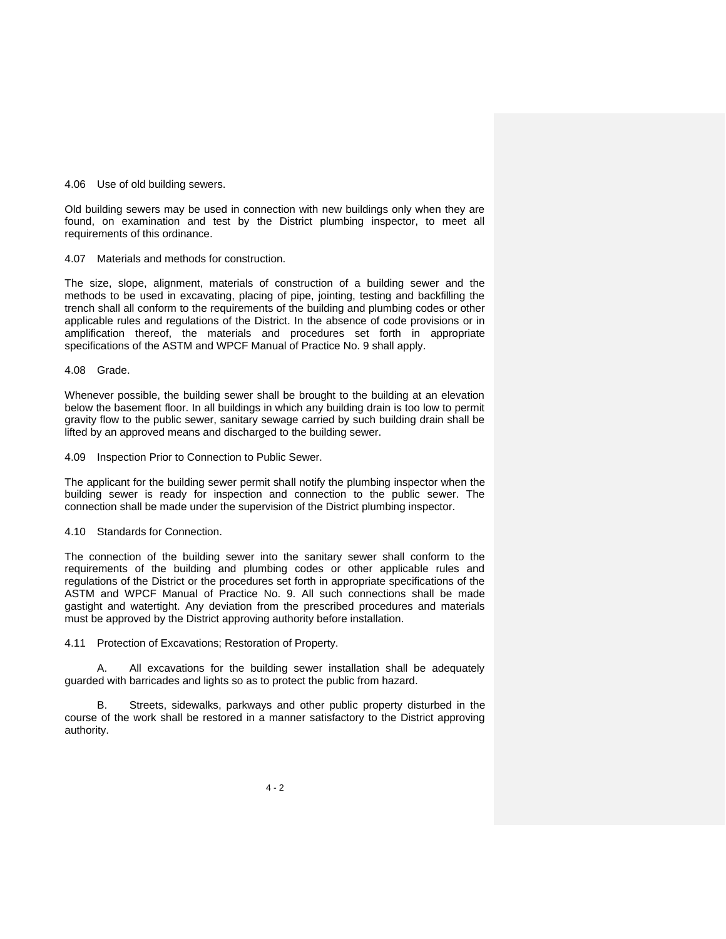#### 4.06 Use of old building sewers.

Old building sewers may be used in connection with new buildings only when they are found, on examination and test by the District plumbing inspector, to meet all requirements of this ordinance.

4.07 Materials and methods for construction.

The size, slope, alignment, materials of construction of a building sewer and the methods to be used in excavating, placing of pipe, jointing, testing and backfilling the trench shall all conform to the requirements of the building and plumbing codes or other applicable rules and regulations of the District. In the absence of code provisions or in amplification thereof, the materials and procedures set forth in appropriate specifications of the ASTM and WPCF Manual of Practice No. 9 shall apply.

4.08 Grade.

Whenever possible, the building sewer shall be brought to the building at an elevation below the basement floor. In all buildings in which any building drain is too low to permit gravity flow to the public sewer, sanitary sewage carried by such building drain shall be lifted by an approved means and discharged to the building sewer.

4.09 Inspection Prior to Connection to Public Sewer.

The applicant for the building sewer permit shall notify the plumbing inspector when the building sewer is ready for inspection and connection to the public sewer. The connection shall be made under the supervision of the District plumbing inspector.

#### 4.10 Standards for Connection.

The connection of the building sewer into the sanitary sewer shall conform to the requirements of the building and plumbing codes or other applicable rules and regulations of the District or the procedures set forth in appropriate specifications of the ASTM and WPCF Manual of Practice No. 9. All such connections shall be made gastight and watertight. Any deviation from the prescribed procedures and materials must be approved by the District approving authority before installation.

4.11 Protection of Excavations; Restoration of Property.

A. All excavations for the building sewer installation shall be adequately guarded with barricades and lights so as to protect the public from hazard.

B. Streets, sidewalks, parkways and other public property disturbed in the course of the work shall be restored in a manner satisfactory to the District approving authority.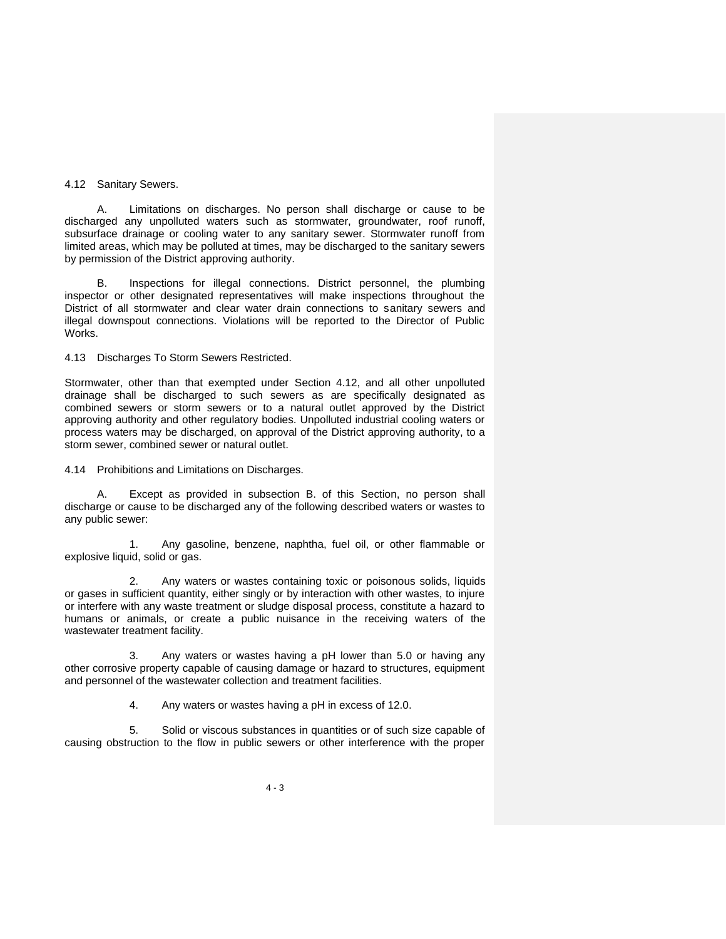#### 4.12 Sanitary Sewers.

A. Limitations on discharges. No person shall discharge or cause to be discharged any unpolluted waters such as stormwater, groundwater, roof runoff, subsurface drainage or cooling water to any sanitary sewer. Stormwater runoff from limited areas, which may be polluted at times, may be discharged to the sanitary sewers by permission of the District approving authority.

B. Inspections for illegal connections. District personnel, the plumbing inspector or other designated representatives will make inspections throughout the District of all stormwater and clear water drain connections to sanitary sewers and illegal downspout connections. Violations will be reported to the Director of Public Works.

## 4.13 Discharges To Storm Sewers Restricted.

Stormwater, other than that exempted under Section 4.12, and all other unpolluted drainage shall be discharged to such sewers as are specifically designated as combined sewers or storm sewers or to a natural outlet approved by the District approving authority and other regulatory bodies. Unpolluted industrial cooling waters or process waters may be discharged, on approval of the District approving authority, to a storm sewer, combined sewer or natural outlet.

4.14 Prohibitions and Limitations on Discharges.

A. Except as provided in subsection B. of this Section, no person shall discharge or cause to be discharged any of the following described waters or wastes to any public sewer:

1. Any gasoline, benzene, naphtha, fuel oil, or other flammable or explosive liquid, solid or gas.

2. Any waters or wastes containing toxic or poisonous solids, liquids or gases in sufficient quantity, either singly or by interaction with other wastes, to injure or interfere with any waste treatment or sludge disposal process, constitute a hazard to humans or animals, or create a public nuisance in the receiving waters of the wastewater treatment facility.

3. Any waters or wastes having a pH lower than 5.0 or having any other corrosive property capable of causing damage or hazard to structures, equipment and personnel of the wastewater collection and treatment facilities.

4. Any waters or wastes having a pH in excess of 12.0.

5. Solid or viscous substances in quantities or of such size capable of causing obstruction to the flow in public sewers or other interference with the proper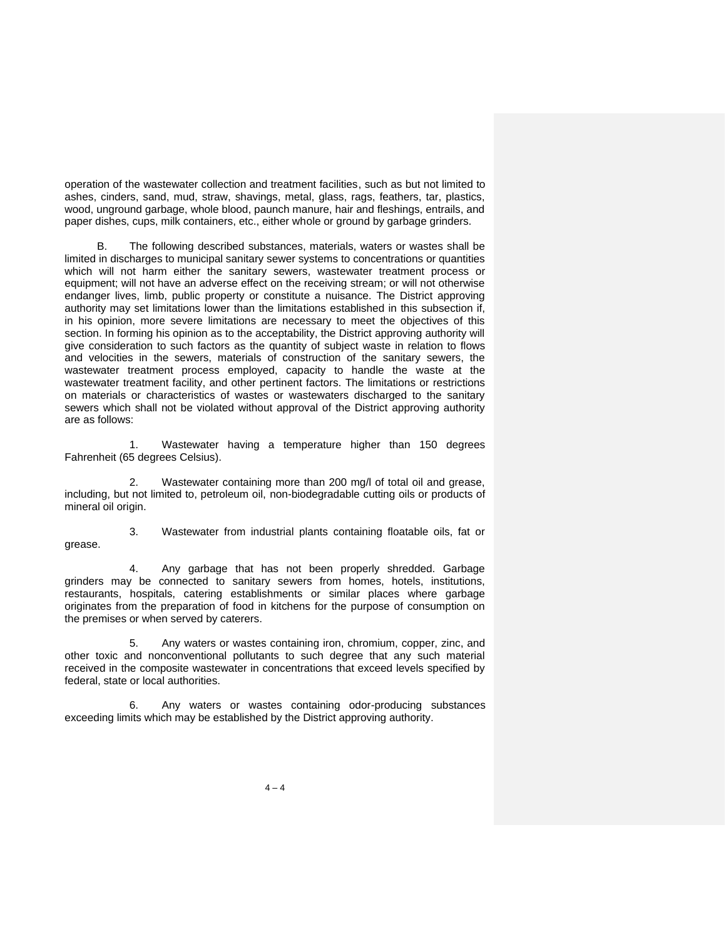operation of the wastewater collection and treatment facilities, such as but not limited to ashes, cinders, sand, mud, straw, shavings, metal, glass, rags, feathers, tar, plastics, wood, unground garbage, whole blood, paunch manure, hair and fleshings, entrails, and paper dishes, cups, milk containers, etc., either whole or ground by garbage grinders.

B. The following described substances, materials, waters or wastes shall be limited in discharges to municipal sanitary sewer systems to concentrations or quantities which will not harm either the sanitary sewers, wastewater treatment process or equipment; will not have an adverse effect on the receiving stream; or will not otherwise endanger lives, limb, public property or constitute a nuisance. The District approving authority may set limitations lower than the limitations established in this subsection if, in his opinion, more severe limitations are necessary to meet the objectives of this section. In forming his opinion as to the acceptability, the District approving authority will give consideration to such factors as the quantity of subject waste in relation to flows and velocities in the sewers, materials of construction of the sanitary sewers, the wastewater treatment process employed, capacity to handle the waste at the wastewater treatment facility, and other pertinent factors. The limitations or restrictions on materials or characteristics of wastes or wastewaters discharged to the sanitary sewers which shall not be violated without approval of the District approving authority are as follows:

Wastewater having a temperature higher than 150 degrees Fahrenheit (65 degrees Celsius).

2. Wastewater containing more than 200 mg/l of total oil and grease, including, but not limited to, petroleum oil, non-biodegradable cutting oils or products of mineral oil origin.

grease.

3. Wastewater from industrial plants containing floatable oils, fat or

4. Any garbage that has not been properly shredded. Garbage grinders may be connected to sanitary sewers from homes, hotels, institutions, restaurants, hospitals, catering establishments or similar places where garbage originates from the preparation of food in kitchens for the purpose of consumption on the premises or when served by caterers.

5. Any waters or wastes containing iron, chromium, copper, zinc, and other toxic and nonconventional pollutants to such degree that any such material received in the composite wastewater in concentrations that exceed levels specified by federal, state or local authorities.

6. Any waters or wastes containing odor-producing substances exceeding limits which may be established by the District approving authority.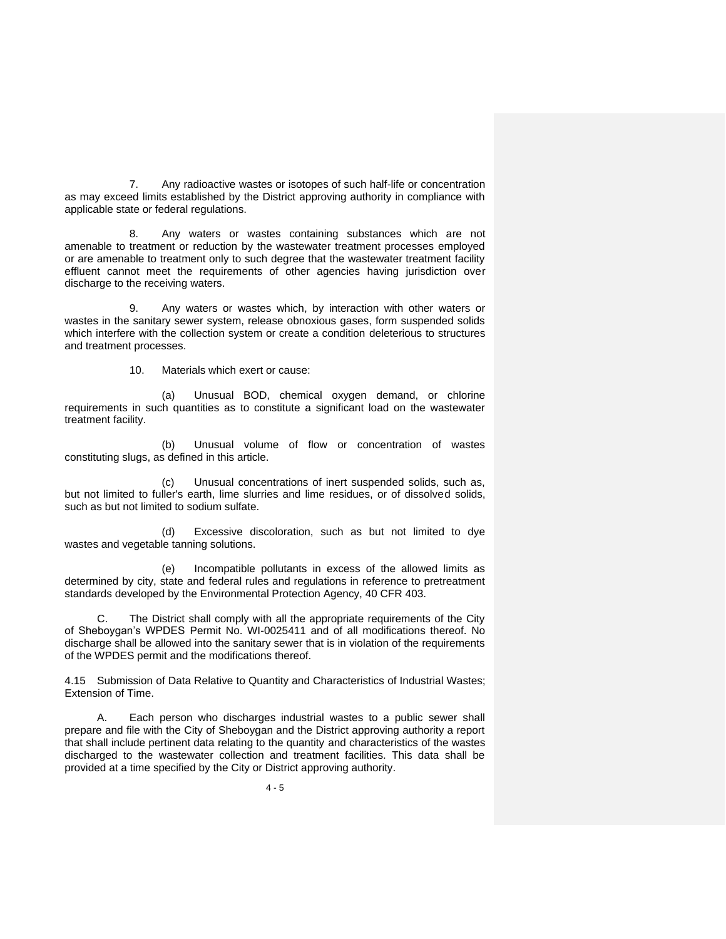7. Any radioactive wastes or isotopes of such half-life or concentration as may exceed limits established by the District approving authority in compliance with applicable state or federal regulations.

8. Any waters or wastes containing substances which are not amenable to treatment or reduction by the wastewater treatment processes employed or are amenable to treatment only to such degree that the wastewater treatment facility effluent cannot meet the requirements of other agencies having jurisdiction over discharge to the receiving waters.

9. Any waters or wastes which, by interaction with other waters or wastes in the sanitary sewer system, release obnoxious gases, form suspended solids which interfere with the collection system or create a condition deleterious to structures and treatment processes.

10. Materials which exert or cause:

(a) Unusual BOD, chemical oxygen demand, or chlorine requirements in such quantities as to constitute a significant load on the wastewater treatment facility.

(b) Unusual volume of flow or concentration of wastes constituting slugs, as defined in this article.

(c) Unusual concentrations of inert suspended solids, such as, but not limited to fuller's earth, lime slurries and lime residues, or of dissolved solids, such as but not limited to sodium sulfate.

(d) Excessive discoloration, such as but not limited to dye wastes and vegetable tanning solutions.

(e) Incompatible pollutants in excess of the allowed limits as determined by city, state and federal rules and regulations in reference to pretreatment standards developed by the Environmental Protection Agency, 40 CFR 403.

C. The District shall comply with all the appropriate requirements of the City of Sheboygan's WPDES Permit No. WI-0025411 and of all modifications thereof. No discharge shall be allowed into the sanitary sewer that is in violation of the requirements of the WPDES permit and the modifications thereof.

4.15 Submission of Data Relative to Quantity and Characteristics of Industrial Wastes; Extension of Time.

A. Each person who discharges industrial wastes to a public sewer shall prepare and file with the City of Sheboygan and the District approving authority a report that shall include pertinent data relating to the quantity and characteristics of the wastes discharged to the wastewater collection and treatment facilities. This data shall be provided at a time specified by the City or District approving authority.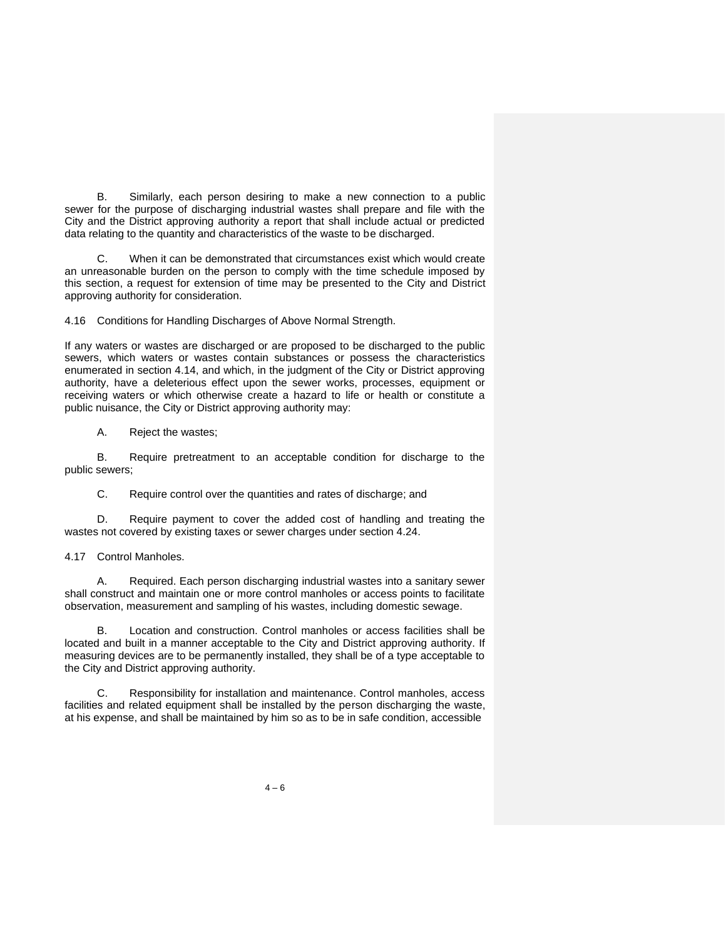B. Similarly, each person desiring to make a new connection to a public sewer for the purpose of discharging industrial wastes shall prepare and file with the City and the District approving authority a report that shall include actual or predicted data relating to the quantity and characteristics of the waste to be discharged.

C. When it can be demonstrated that circumstances exist which would create an unreasonable burden on the person to comply with the time schedule imposed by this section, a request for extension of time may be presented to the City and District approving authority for consideration.

4.16 Conditions for Handling Discharges of Above Normal Strength.

If any waters or wastes are discharged or are proposed to be discharged to the public sewers, which waters or wastes contain substances or possess the characteristics enumerated in section 4.14, and which, in the judgment of the City or District approving authority, have a deleterious effect upon the sewer works, processes, equipment or receiving waters or which otherwise create a hazard to life or health or constitute a public nuisance, the City or District approving authority may:

A. Reject the wastes;

B. Require pretreatment to an acceptable condition for discharge to the public sewers;

C. Require control over the quantities and rates of discharge; and

D. Require payment to cover the added cost of handling and treating the wastes not covered by existing taxes or sewer charges under section 4.24.

4.17 Control Manholes.

A. Required. Each person discharging industrial wastes into a sanitary sewer shall construct and maintain one or more control manholes or access points to facilitate observation, measurement and sampling of his wastes, including domestic sewage.

B. Location and construction. Control manholes or access facilities shall be located and built in a manner acceptable to the City and District approving authority. If measuring devices are to be permanently installed, they shall be of a type acceptable to the City and District approving authority.

C. Responsibility for installation and maintenance. Control manholes, access facilities and related equipment shall be installed by the person discharging the waste, at his expense, and shall be maintained by him so as to be in safe condition, accessible

 $4 - 6$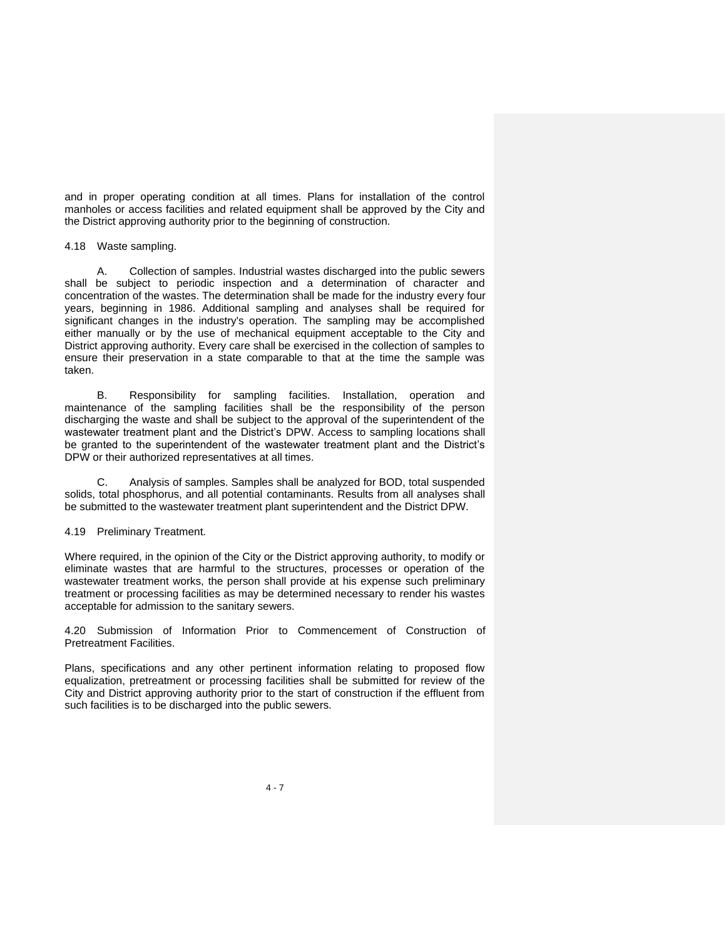and in proper operating condition at all times. Plans for installation of the control manholes or access facilities and related equipment shall be approved by the City and the District approving authority prior to the beginning of construction.

4.18 Waste sampling.

A. Collection of samples. Industrial wastes discharged into the public sewers shall be subject to periodic inspection and a determination of character and concentration of the wastes. The determination shall be made for the industry every four years, beginning in 1986. Additional sampling and analyses shall be required for significant changes in the industry's operation. The sampling may be accomplished either manually or by the use of mechanical equipment acceptable to the City and District approving authority. Every care shall be exercised in the collection of samples to ensure their preservation in a state comparable to that at the time the sample was taken.

B. Responsibility for sampling facilities. Installation, operation and maintenance of the sampling facilities shall be the responsibility of the person discharging the waste and shall be subject to the approval of the superintendent of the wastewater treatment plant and the District's DPW. Access to sampling locations shall be granted to the superintendent of the wastewater treatment plant and the District's DPW or their authorized representatives at all times.

C. Analysis of samples. Samples shall be analyzed for BOD, total suspended solids, total phosphorus, and all potential contaminants. Results from all analyses shall be submitted to the wastewater treatment plant superintendent and the District DPW.

#### 4.19 Preliminary Treatment.

Where required, in the opinion of the City or the District approving authority, to modify or eliminate wastes that are harmful to the structures, processes or operation of the wastewater treatment works, the person shall provide at his expense such preliminary treatment or processing facilities as may be determined necessary to render his wastes acceptable for admission to the sanitary sewers.

4.20 Submission of Information Prior to Commencement of Construction of Pretreatment Facilities.

Plans, specifications and any other pertinent information relating to proposed flow equalization, pretreatment or processing facilities shall be submitted for review of the City and District approving authority prior to the start of construction if the effluent from such facilities is to be discharged into the public sewers.

 $4 - 7$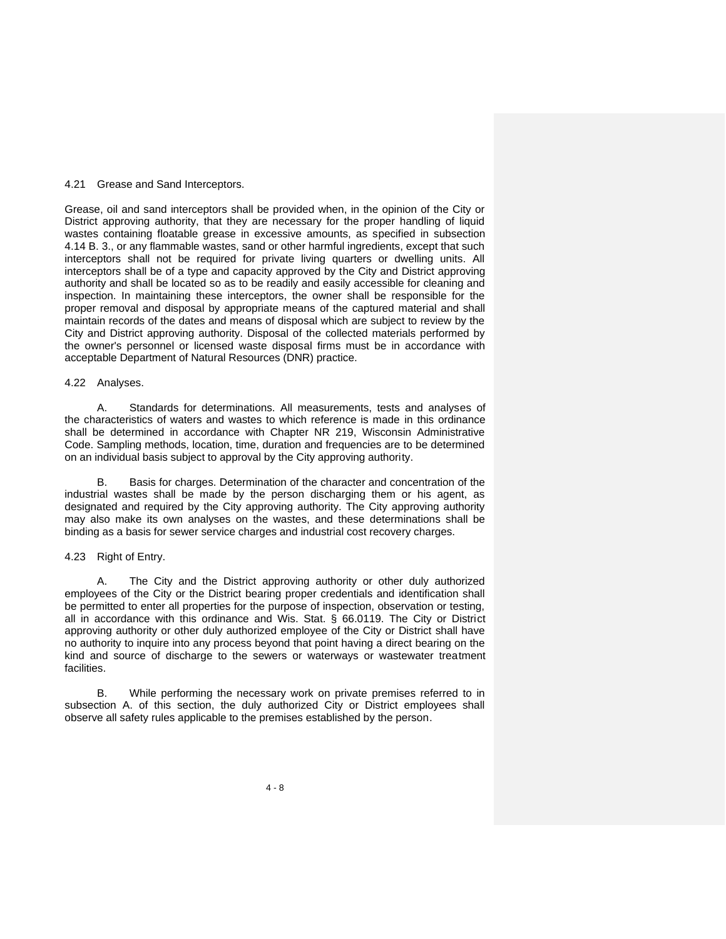#### 4.21 Grease and Sand Interceptors.

Grease, oil and sand interceptors shall be provided when, in the opinion of the City or District approving authority, that they are necessary for the proper handling of liquid wastes containing floatable grease in excessive amounts, as specified in subsection 4.14 B. 3., or any flammable wastes, sand or other harmful ingredients, except that such interceptors shall not be required for private living quarters or dwelling units. All interceptors shall be of a type and capacity approved by the City and District approving authority and shall be located so as to be readily and easily accessible for cleaning and inspection. In maintaining these interceptors, the owner shall be responsible for the proper removal and disposal by appropriate means of the captured material and shall maintain records of the dates and means of disposal which are subject to review by the City and District approving authority. Disposal of the collected materials performed by the owner's personnel or licensed waste disposal firms must be in accordance with acceptable Department of Natural Resources (DNR) practice.

#### 4.22 Analyses.

A. Standards for determinations. All measurements, tests and analyses of the characteristics of waters and wastes to which reference is made in this ordinance shall be determined in accordance with Chapter NR 219, Wisconsin Administrative Code. Sampling methods, location, time, duration and frequencies are to be determined on an individual basis subject to approval by the City approving authority.

B. Basis for charges. Determination of the character and concentration of the industrial wastes shall be made by the person discharging them or his agent, as designated and required by the City approving authority. The City approving authority may also make its own analyses on the wastes, and these determinations shall be binding as a basis for sewer service charges and industrial cost recovery charges.

#### 4.23 Right of Entry.

A. The City and the District approving authority or other duly authorized employees of the City or the District bearing proper credentials and identification shall be permitted to enter all properties for the purpose of inspection, observation or testing, all in accordance with this ordinance and Wis. Stat. § 66.0119. The City or District approving authority or other duly authorized employee of the City or District shall have no authority to inquire into any process beyond that point having a direct bearing on the kind and source of discharge to the sewers or waterways or wastewater treatment facilities.

B. While performing the necessary work on private premises referred to in subsection A. of this section, the duly authorized City or District employees shall observe all safety rules applicable to the premises established by the person.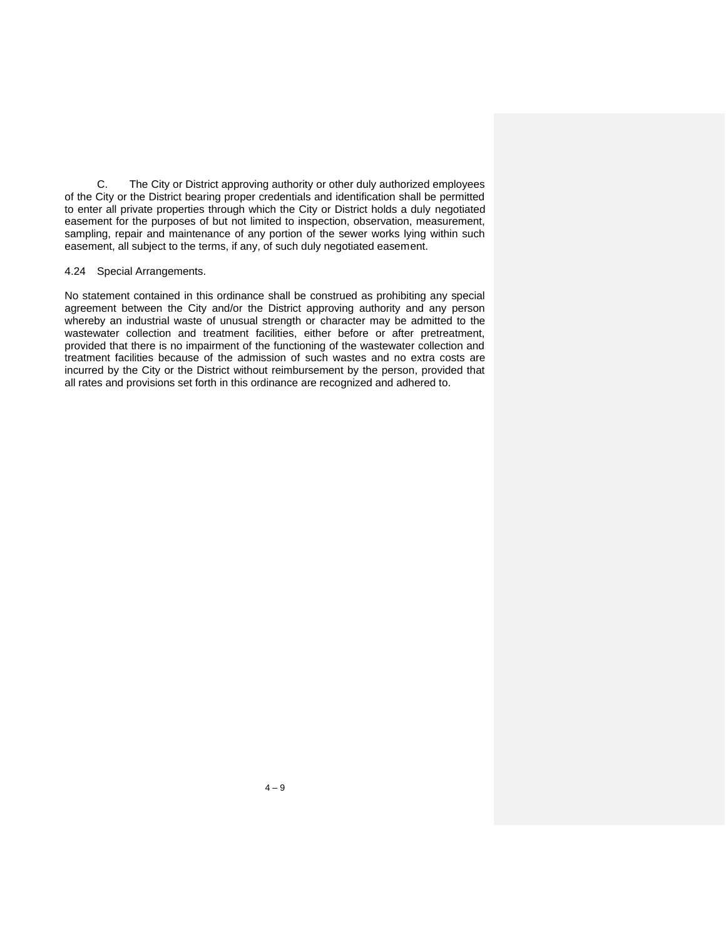C. The City or District approving authority or other duly authorized employees of the City or the District bearing proper credentials and identification shall be permitted to enter all private properties through which the City or District holds a duly negotiated easement for the purposes of but not limited to inspection, observation, measurement, sampling, repair and maintenance of any portion of the sewer works lying within such easement, all subject to the terms, if any, of such duly negotiated easement.

#### 4.24 Special Arrangements.

No statement contained in this ordinance shall be construed as prohibiting any special agreement between the City and/or the District approving authority and any person whereby an industrial waste of unusual strength or character may be admitted to the wastewater collection and treatment facilities, either before or after pretreatment, provided that there is no impairment of the functioning of the wastewater collection and treatment facilities because of the admission of such wastes and no extra costs are incurred by the City or the District without reimbursement by the person, provided that all rates and provisions set forth in this ordinance are recognized and adhered to.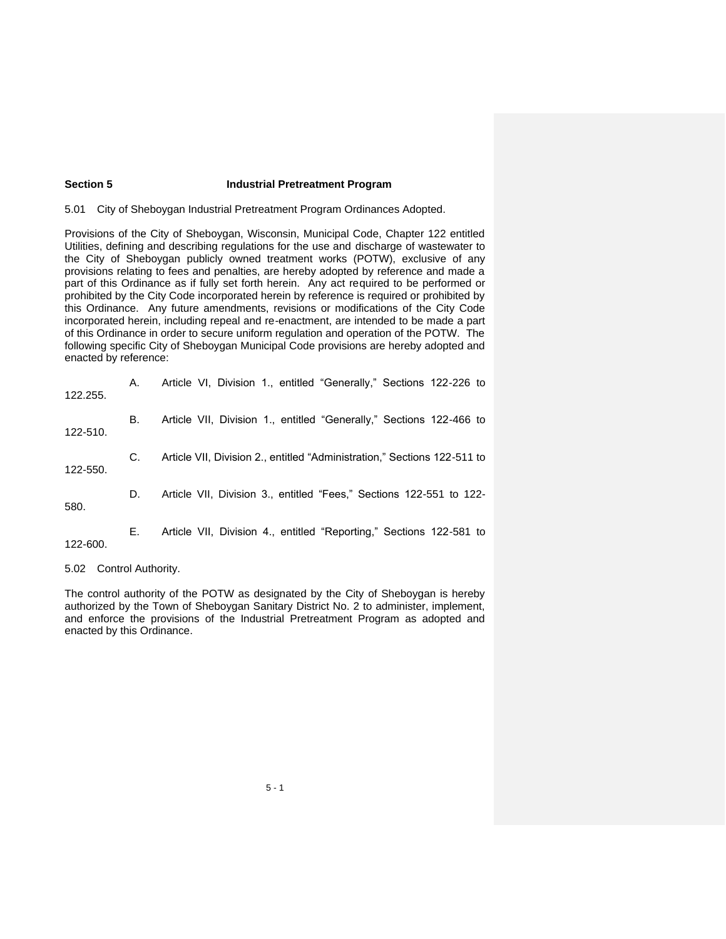# **Section 5 Industrial Pretreatment Program**

5.01 City of Sheboygan Industrial Pretreatment Program Ordinances Adopted.

Provisions of the City of Sheboygan, Wisconsin, Municipal Code, Chapter 122 entitled Utilities, defining and describing regulations for the use and discharge of wastewater to the City of Sheboygan publicly owned treatment works (POTW), exclusive of any provisions relating to fees and penalties, are hereby adopted by reference and made a part of this Ordinance as if fully set forth herein. Any act required to be performed or prohibited by the City Code incorporated herein by reference is required or prohibited by this Ordinance. Any future amendments, revisions or modifications of the City Code incorporated herein, including repeal and re-enactment, are intended to be made a part of this Ordinance in order to secure uniform regulation and operation of the POTW. The following specific City of Sheboygan Municipal Code provisions are hereby adopted and enacted by reference:

| 122.255. | А. | Article VI, Division 1., entitled "Generally," Sections 122-226 to       |
|----------|----|--------------------------------------------------------------------------|
| 122-510. | В. | Article VII, Division 1., entitled "Generally," Sections 122-466 to      |
| 122-550. | C. | Article VII, Division 2., entitled "Administration," Sections 122-511 to |
| 580.     | D. | Article VII, Division 3., entitled "Fees," Sections 122-551 to 122-      |
| 122-600. | Е. | Article VII, Division 4., entitled "Reporting," Sections 122-581 to      |

5.02 Control Authority.

The control authority of the POTW as designated by the City of Sheboygan is hereby authorized by the Town of Sheboygan Sanitary District No. 2 to administer, implement, and enforce the provisions of the Industrial Pretreatment Program as adopted and enacted by this Ordinance.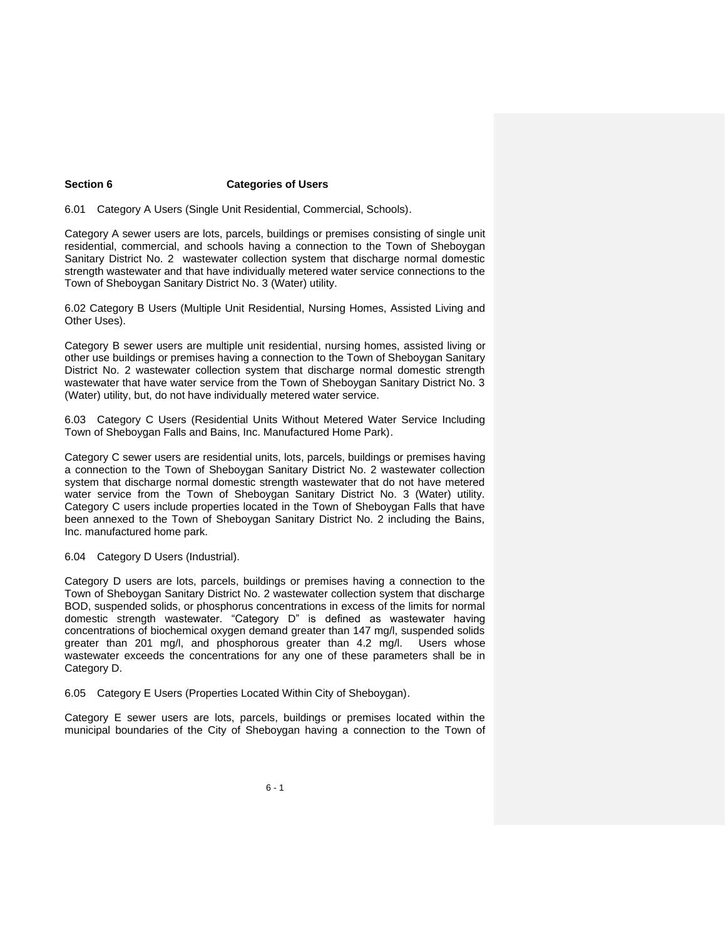# **Section 6 Categories of Users**

6.01 Category A Users (Single Unit Residential, Commercial, Schools).

Category A sewer users are lots, parcels, buildings or premises consisting of single unit residential, commercial, and schools having a connection to the Town of Sheboygan Sanitary District No. 2 wastewater collection system that discharge normal domestic strength wastewater and that have individually metered water service connections to the Town of Sheboygan Sanitary District No. 3 (Water) utility.

6.02 Category B Users (Multiple Unit Residential, Nursing Homes, Assisted Living and Other Uses).

Category B sewer users are multiple unit residential, nursing homes, assisted living or other use buildings or premises having a connection to the Town of Sheboygan Sanitary District No. 2 wastewater collection system that discharge normal domestic strength wastewater that have water service from the Town of Sheboygan Sanitary District No. 3 (Water) utility, but, do not have individually metered water service.

6.03 Category C Users (Residential Units Without Metered Water Service Including Town of Sheboygan Falls and Bains, Inc. Manufactured Home Park).

Category C sewer users are residential units, lots, parcels, buildings or premises having a connection to the Town of Sheboygan Sanitary District No. 2 wastewater collection system that discharge normal domestic strength wastewater that do not have metered water service from the Town of Sheboygan Sanitary District No. 3 (Water) utility. Category C users include properties located in the Town of Sheboygan Falls that have been annexed to the Town of Sheboygan Sanitary District No. 2 including the Bains, Inc. manufactured home park.

6.04 Category D Users (Industrial).

Category D users are lots, parcels, buildings or premises having a connection to the Town of Sheboygan Sanitary District No. 2 wastewater collection system that discharge BOD, suspended solids, or phosphorus concentrations in excess of the limits for normal domestic strength wastewater. "Category D" is defined as wastewater having concentrations of biochemical oxygen demand greater than 147 mg/l, suspended solids greater than 201 mg/l, and phosphorous greater than 4.2 mg/l. Users whose wastewater exceeds the concentrations for any one of these parameters shall be in Category D.

6.05 Category E Users (Properties Located Within City of Sheboygan).

Category E sewer users are lots, parcels, buildings or premises located within the municipal boundaries of the City of Sheboygan having a connection to the Town of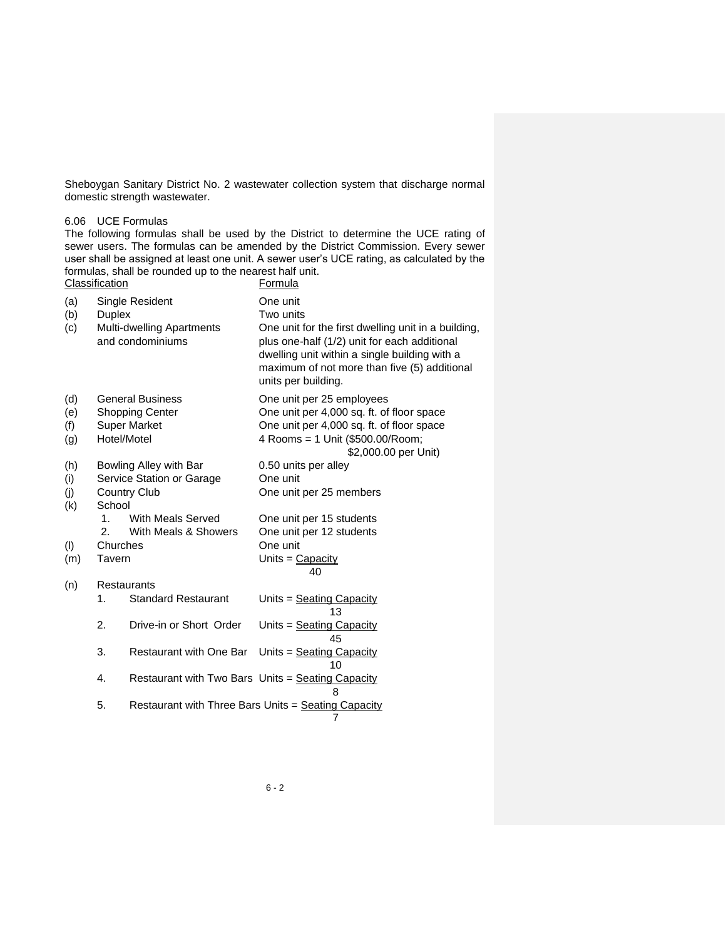Sheboygan Sanitary District No. 2 wastewater collection system that discharge normal domestic strength wastewater.

#### 6.06 UCE Formulas

The following formulas shall be used by the District to determine the UCE rating of sewer users. The formulas can be amended by the District Commission. Every sewer user shall be assigned at least one unit. A sewer user's UCE rating, as calculated by the formulas, shall be rounded up to the nearest half unit. Classification

| (a) |               | Single Resident                                   | One unit                                                                                                                                                                                                                    |
|-----|---------------|---------------------------------------------------|-----------------------------------------------------------------------------------------------------------------------------------------------------------------------------------------------------------------------------|
| (b) | <b>Duplex</b> |                                                   | Two units                                                                                                                                                                                                                   |
| (c) |               | Multi-dwelling Apartments<br>and condominiums     | One unit for the first dwelling unit in a building,<br>plus one-half (1/2) unit for each additional<br>dwelling unit within a single building with a<br>maximum of not more than five (5) additional<br>units per building. |
| (d) |               | <b>General Business</b>                           | One unit per 25 employees                                                                                                                                                                                                   |
| (e) |               | <b>Shopping Center</b>                            | One unit per 4,000 sq. ft. of floor space                                                                                                                                                                                   |
| (f) |               | <b>Super Market</b>                               | One unit per 4,000 sq. ft. of floor space                                                                                                                                                                                   |
| (g) | Hotel/Motel   |                                                   | 4 Rooms = 1 Unit (\$500.00/Room;                                                                                                                                                                                            |
|     |               |                                                   | \$2,000.00 per Unit)                                                                                                                                                                                                        |
| (h) |               | Bowling Alley with Bar                            | 0.50 units per alley                                                                                                                                                                                                        |
| (i) |               | Service Station or Garage                         | One unit                                                                                                                                                                                                                    |
| (j) |               | <b>Country Club</b>                               | One unit per 25 members                                                                                                                                                                                                     |
| (k) | School        |                                                   |                                                                                                                                                                                                                             |
|     | 1.            | <b>With Meals Served</b>                          | One unit per 15 students                                                                                                                                                                                                    |
|     | 2.            | With Meals & Showers                              | One unit per 12 students                                                                                                                                                                                                    |
| (1) | Churches      |                                                   | One unit                                                                                                                                                                                                                    |
| (m) | Tavern        |                                                   | Units = $Capacity$                                                                                                                                                                                                          |
|     |               |                                                   | 40                                                                                                                                                                                                                          |
| (n) |               | <b>Restaurants</b>                                |                                                                                                                                                                                                                             |
|     | 1.            | <b>Standard Restaurant</b>                        | Units = Seating Capacity<br>13                                                                                                                                                                                              |
|     | 2.            | Drive-in or Short Order                           | Units = $S$ eating Capacity<br>45                                                                                                                                                                                           |
|     | 3.            | Restaurant with One Bar                           | Units = Seating Capacity<br>10                                                                                                                                                                                              |
|     | 4.            | Restaurant with Two Bars Units = Seating Capacity | 8                                                                                                                                                                                                                           |
|     | 5.            |                                                   | Restaurant with Three Bars Units = Seating Capacity<br>7                                                                                                                                                                    |
|     |               |                                                   |                                                                                                                                                                                                                             |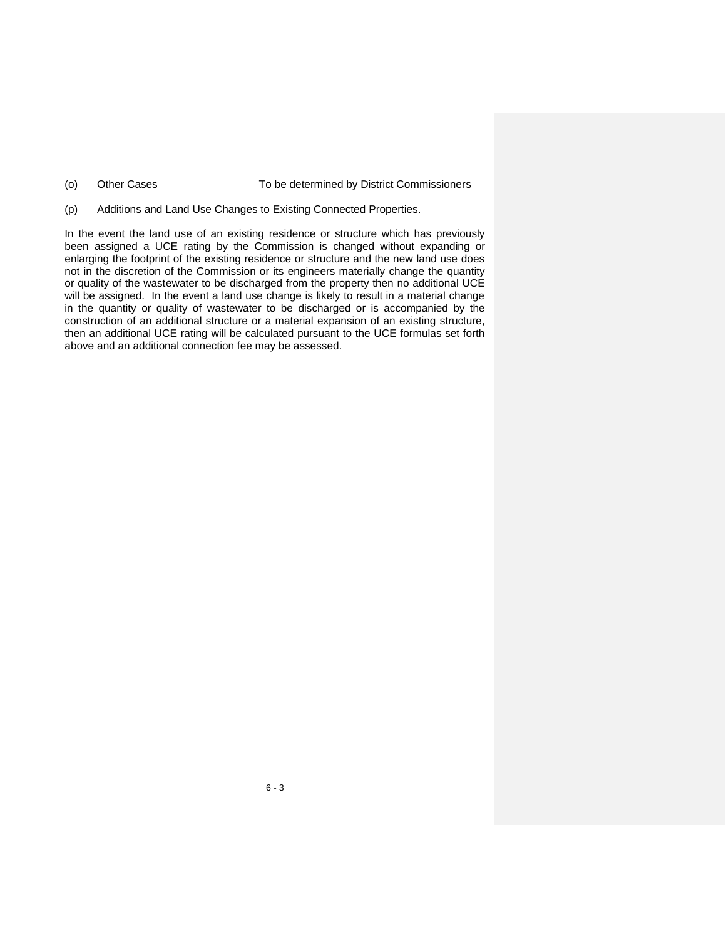- (o) Other Cases To be determined by District Commissioners
- (p) Additions and Land Use Changes to Existing Connected Properties.

In the event the land use of an existing residence or structure which has previously been assigned a UCE rating by the Commission is changed without expanding or enlarging the footprint of the existing residence or structure and the new land use does not in the discretion of the Commission or its engineers materially change the quantity or quality of the wastewater to be discharged from the property then no additional UCE will be assigned. In the event a land use change is likely to result in a material change in the quantity or quality of wastewater to be discharged or is accompanied by the construction of an additional structure or a material expansion of an existing structure, then an additional UCE rating will be calculated pursuant to the UCE formulas set forth above and an additional connection fee may be assessed.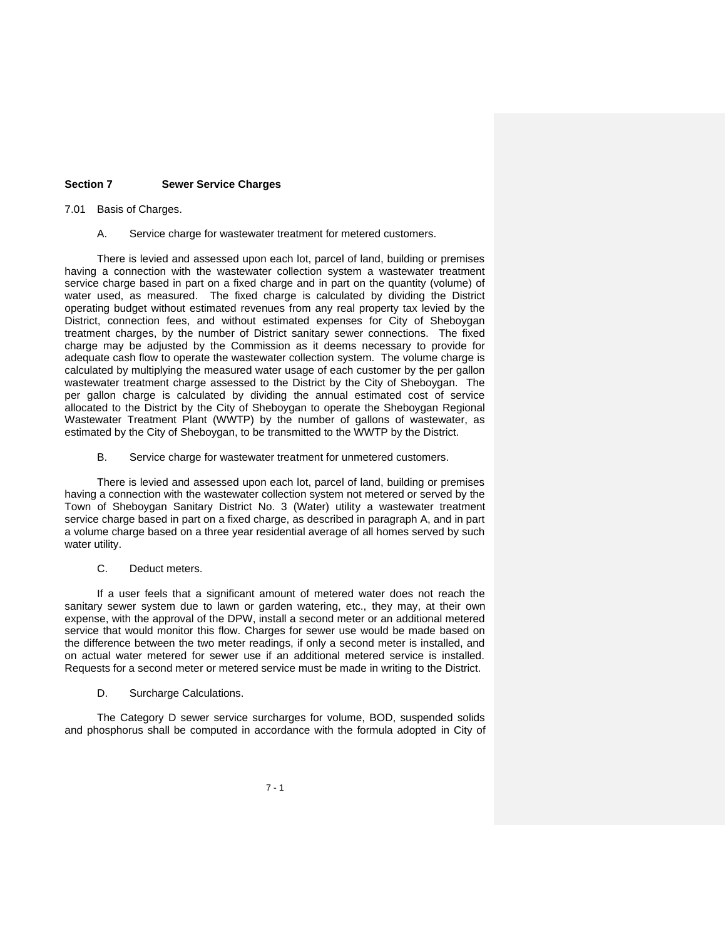#### **Section 7 Sewer Service Charges**

#### 7.01 Basis of Charges.

A. Service charge for wastewater treatment for metered customers.

There is levied and assessed upon each lot, parcel of land, building or premises having a connection with the wastewater collection system a wastewater treatment service charge based in part on a fixed charge and in part on the quantity (volume) of water used, as measured. The fixed charge is calculated by dividing the District operating budget without estimated revenues from any real property tax levied by the District, connection fees, and without estimated expenses for City of Sheboygan treatment charges, by the number of District sanitary sewer connections. The fixed charge may be adjusted by the Commission as it deems necessary to provide for adequate cash flow to operate the wastewater collection system. The volume charge is calculated by multiplying the measured water usage of each customer by the per gallon wastewater treatment charge assessed to the District by the City of Sheboygan. The per gallon charge is calculated by dividing the annual estimated cost of service allocated to the District by the City of Sheboygan to operate the Sheboygan Regional Wastewater Treatment Plant (WWTP) by the number of gallons of wastewater, as estimated by the City of Sheboygan, to be transmitted to the WWTP by the District.

B. Service charge for wastewater treatment for unmetered customers.

There is levied and assessed upon each lot, parcel of land, building or premises having a connection with the wastewater collection system not metered or served by the Town of Sheboygan Sanitary District No. 3 (Water) utility a wastewater treatment service charge based in part on a fixed charge, as described in paragraph A, and in part a volume charge based on a three year residential average of all homes served by such water utility.

#### C. Deduct meters.

If a user feels that a significant amount of metered water does not reach the sanitary sewer system due to lawn or garden watering, etc., they may, at their own expense, with the approval of the DPW, install a second meter or an additional metered service that would monitor this flow. Charges for sewer use would be made based on the difference between the two meter readings, if only a second meter is installed, and on actual water metered for sewer use if an additional metered service is installed. Requests for a second meter or metered service must be made in writing to the District.

#### D. Surcharge Calculations.

The Category D sewer service surcharges for volume, BOD, suspended solids and phosphorus shall be computed in accordance with the formula adopted in City of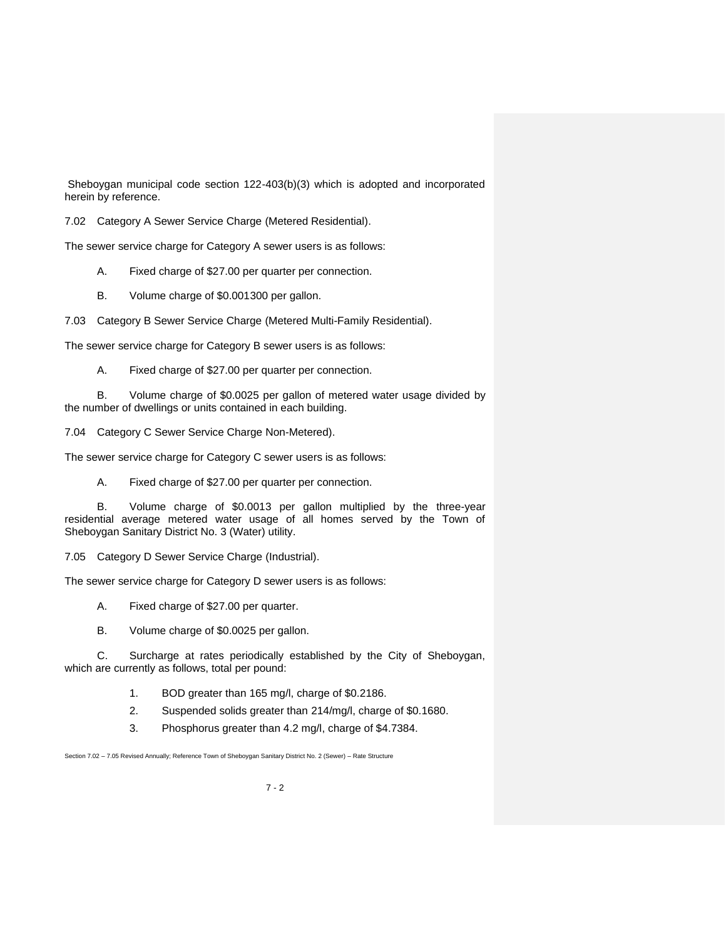Sheboygan municipal code section 122-403(b)(3) which is adopted and incorporated herein by reference.

7.02 Category A Sewer Service Charge (Metered Residential).

The sewer service charge for Category A sewer users is as follows:

- A. Fixed charge of \$27.00 per quarter per connection.
- B. Volume charge of \$0.001300 per gallon.

7.03 Category B Sewer Service Charge (Metered Multi-Family Residential).

The sewer service charge for Category B sewer users is as follows:

A. Fixed charge of \$27.00 per quarter per connection.

B. Volume charge of \$0.0025 per gallon of metered water usage divided by the number of dwellings or units contained in each building.

7.04 Category C Sewer Service Charge Non-Metered).

The sewer service charge for Category C sewer users is as follows:

A. Fixed charge of \$27.00 per quarter per connection.

B. Volume charge of \$0.0013 per gallon multiplied by the three-year residential average metered water usage of all homes served by the Town of Sheboygan Sanitary District No. 3 (Water) utility.

7.05 Category D Sewer Service Charge (Industrial).

The sewer service charge for Category D sewer users is as follows:

A. Fixed charge of \$27.00 per quarter.

B. Volume charge of \$0.0025 per gallon.

C. Surcharge at rates periodically established by the City of Sheboygan, which are currently as follows, total per pound:

- 1. BOD greater than 165 mg/l, charge of \$0.2186.
- 2. Suspended solids greater than 214/mg/l, charge of \$0.1680.
- 3. Phosphorus greater than 4.2 mg/l, charge of \$4.7384.

Section 7.02 – 7.05 Revised Annually; Reference Town of Sheboygan Sanitary District No. 2 (Sewer) – Rate Structure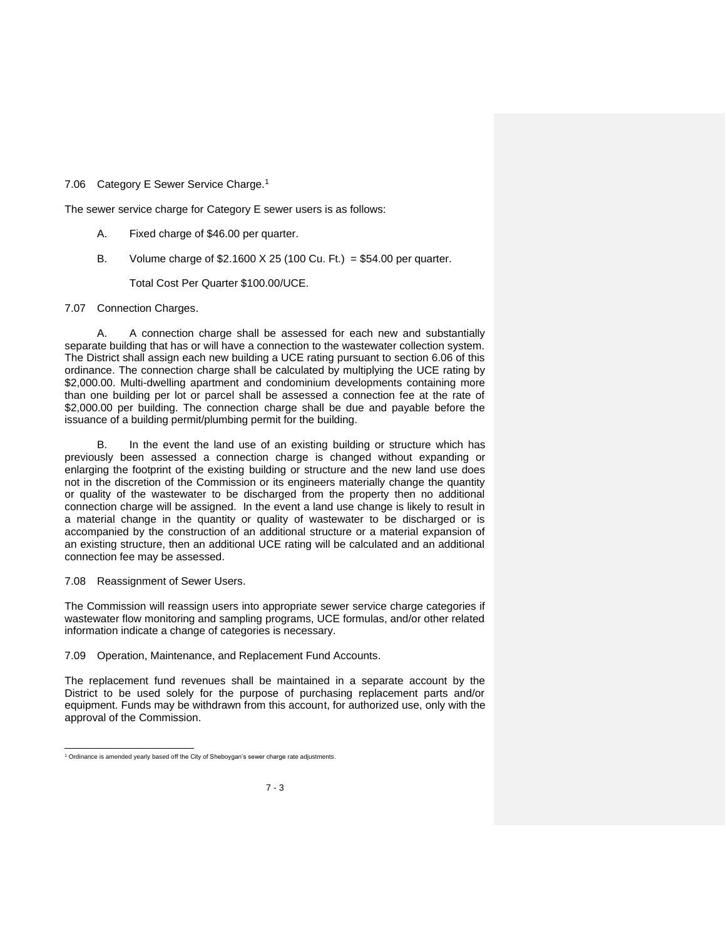7.06 Category E Sewer Service Charge.<sup>1</sup>

The sewer service charge for Category E sewer users is as follows:

- A. Fixed charge of \$46.00 per quarter.
- B. Volume charge of  $$2.1600 \times 25 (100 Cu. Ft.) = $54.00 per quarter.$

Total Cost Per Quarter \$100.00/UCE.

#### 7.07 Connection Charges.

A. A connection charge shall be assessed for each new and substantially separate building that has or will have a connection to the wastewater collection system. The District shall assign each new building a UCE rating pursuant to section 6.06 of this ordinance. The connection charge shall be calculated by multiplying the UCE rating by \$2,000.00. Multi-dwelling apartment and condominium developments containing more than one building per lot or parcel shall be assessed a connection fee at the rate of \$2,000.00 per building. The connection charge shall be due and payable before the issuance of a building permit/plumbing permit for the building.

In the event the land use of an existing building or structure which has previously been assessed a connection charge is changed without expanding or enlarging the footprint of the existing building or structure and the new land use does not in the discretion of the Commission or its engineers materially change the quantity or quality of the wastewater to be discharged from the property then no additional connection charge will be assigned. In the event a land use change is likely to result in a material change in the quantity or quality of wastewater to be discharged or is accompanied by the construction of an additional structure or a material expansion of an existing structure, then an additional UCE rating will be calculated and an additional connection fee may be assessed.

#### 7.08 Reassignment of Sewer Users.

The Commission will reassign users into appropriate sewer service charge categories if wastewater flow monitoring and sampling programs, UCE formulas, and/or other related information indicate a change of categories is necessary.

7.09 Operation, Maintenance, and Replacement Fund Accounts.

The replacement fund revenues shall be maintained in a separate account by the District to be used solely for the purpose of purchasing replacement parts and/or equipment. Funds may be withdrawn from this account, for authorized use, only with the approval of the Commission.

<sup>&</sup>lt;sup>1</sup> Ordinance is amended yearly based off the City of Sheboygan's sewer charge rate adjustments.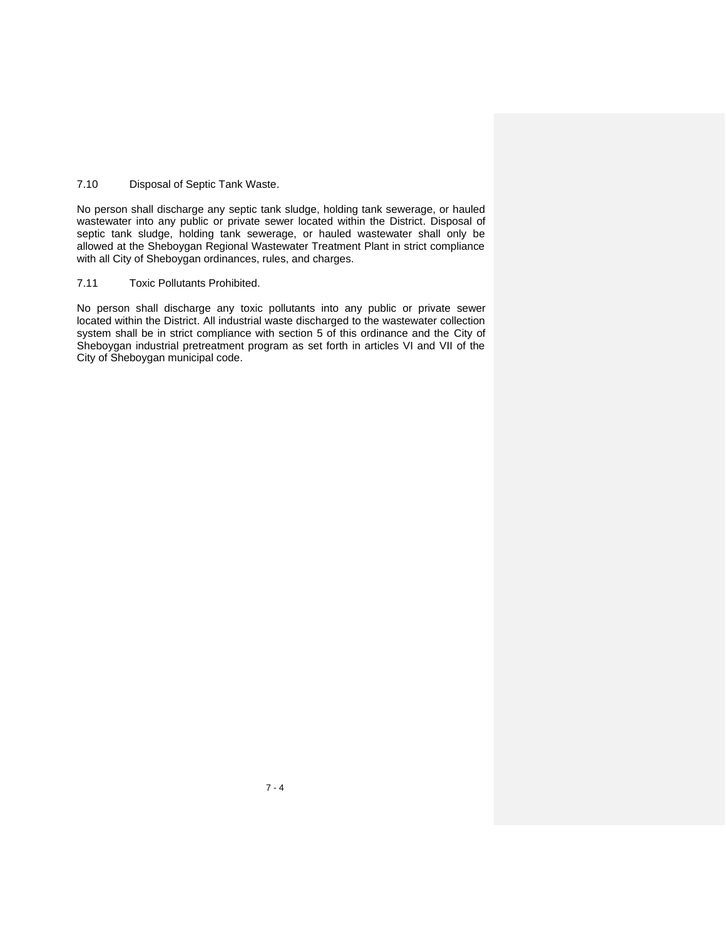# 7.10 Disposal of Septic Tank Waste.

No person shall discharge any septic tank sludge, holding tank sewerage, or hauled wastewater into any public or private sewer located within the District. Disposal of septic tank sludge, holding tank sewerage, or hauled wastewater shall only be allowed at the Sheboygan Regional Wastewater Treatment Plant in strict compliance with all City of Sheboygan ordinances, rules, and charges.

#### 7.11 Toxic Pollutants Prohibited.

No person shall discharge any toxic pollutants into any public or private sewer located within the District. All industrial waste discharged to the wastewater collection system shall be in strict compliance with section 5 of this ordinance and the City of Sheboygan industrial pretreatment program as set forth in articles VI and VII of the City of Sheboygan municipal code.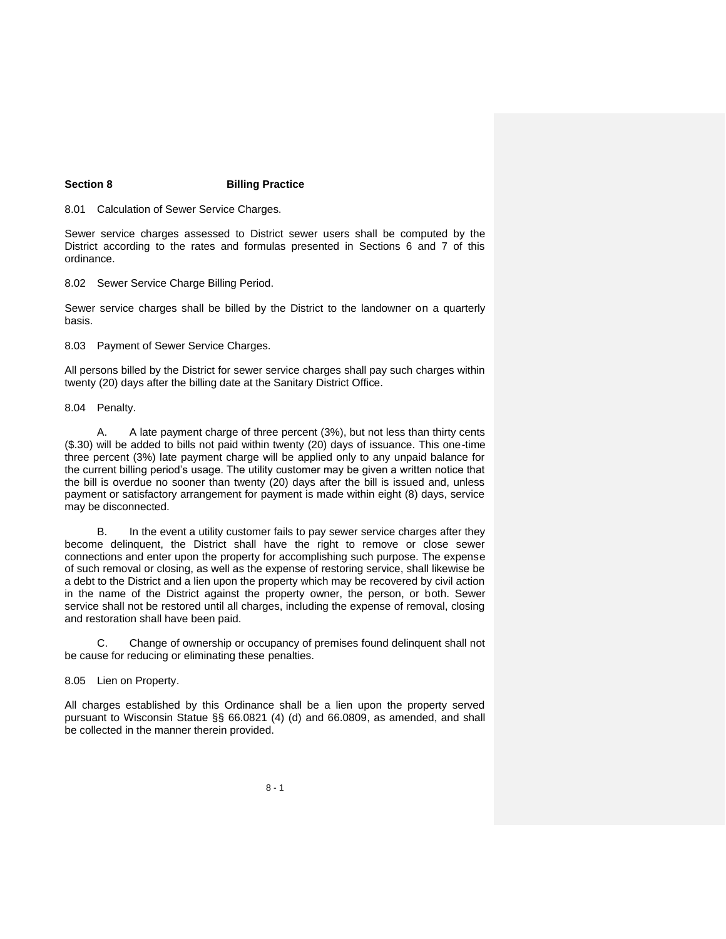### **Section 8 Billing Practice**

8.01 Calculation of Sewer Service Charges.

Sewer service charges assessed to District sewer users shall be computed by the District according to the rates and formulas presented in Sections 6 and 7 of this ordinance.

8.02 Sewer Service Charge Billing Period.

Sewer service charges shall be billed by the District to the landowner on a quarterly basis.

8.03 Payment of Sewer Service Charges.

All persons billed by the District for sewer service charges shall pay such charges within twenty (20) days after the billing date at the Sanitary District Office.

8.04 Penalty.

A. A late payment charge of three percent (3%), but not less than thirty cents (\$.30) will be added to bills not paid within twenty (20) days of issuance. This one-time three percent (3%) late payment charge will be applied only to any unpaid balance for the current billing period's usage. The utility customer may be given a written notice that the bill is overdue no sooner than twenty (20) days after the bill is issued and, unless payment or satisfactory arrangement for payment is made within eight (8) days, service may be disconnected.

B. In the event a utility customer fails to pay sewer service charges after they become delinquent, the District shall have the right to remove or close sewer connections and enter upon the property for accomplishing such purpose. The expense of such removal or closing, as well as the expense of restoring service, shall likewise be a debt to the District and a lien upon the property which may be recovered by civil action in the name of the District against the property owner, the person, or both. Sewer service shall not be restored until all charges, including the expense of removal, closing and restoration shall have been paid.

C. Change of ownership or occupancy of premises found delinquent shall not be cause for reducing or eliminating these penalties.

8.05 Lien on Property.

All charges established by this Ordinance shall be a lien upon the property served pursuant to Wisconsin Statue §§ 66.0821 (4) (d) and 66.0809, as amended, and shall be collected in the manner therein provided.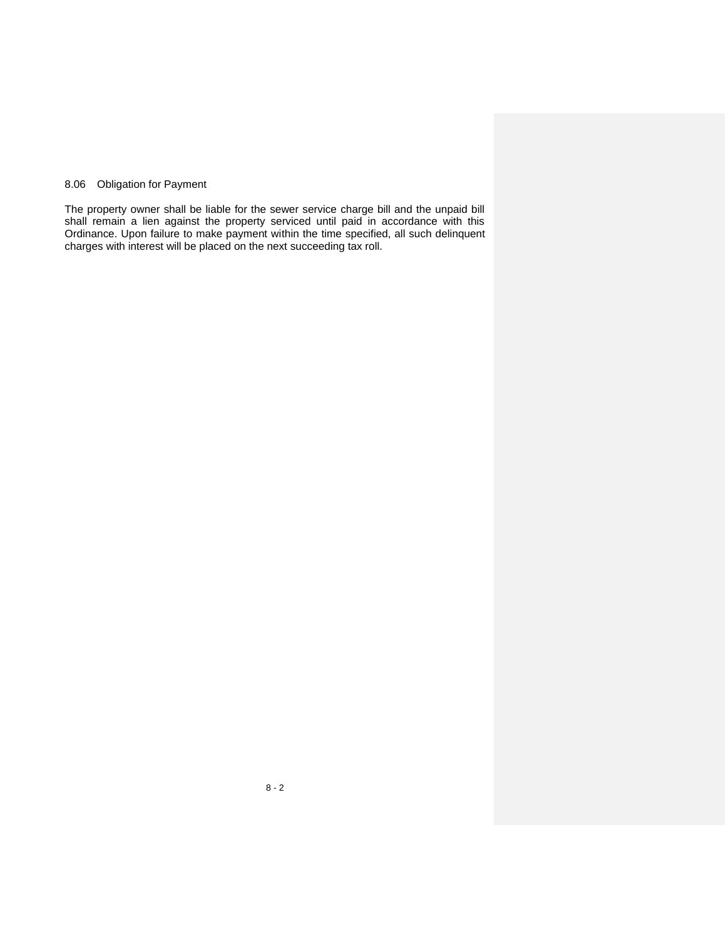# 8.06 Obligation for Payment

The property owner shall be liable for the sewer service charge bill and the unpaid bill shall remain a lien against the property serviced until paid in accordance with this Ordinance. Upon failure to make payment within the time specified, all such delinquent charges with interest will be placed on the next succeeding tax roll.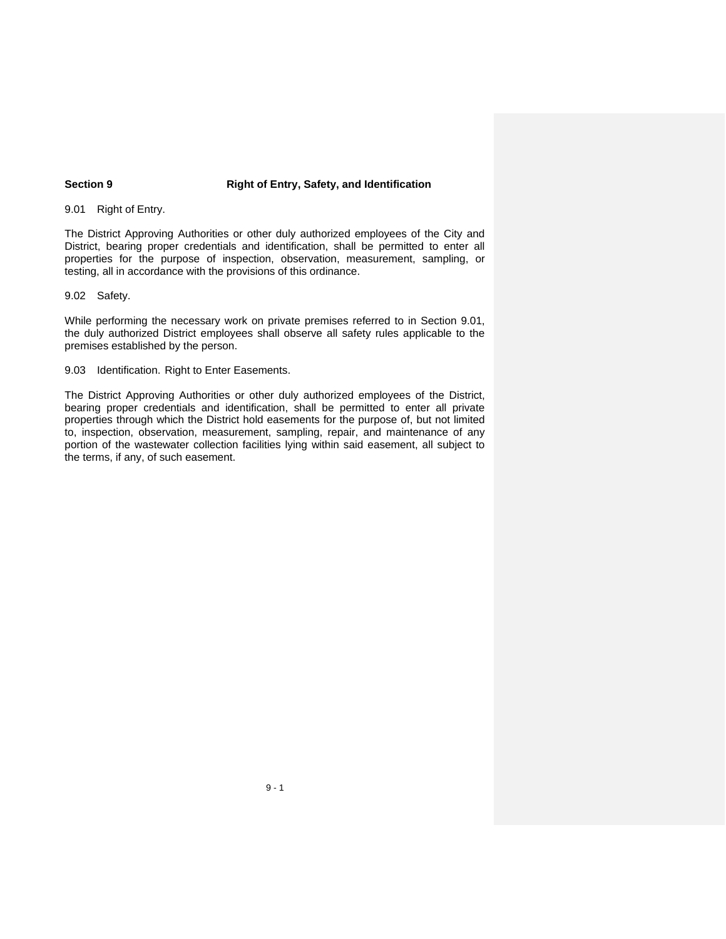#### **Section 9 Right of Entry, Safety, and Identification**

9.01 Right of Entry.

The District Approving Authorities or other duly authorized employees of the City and District, bearing proper credentials and identification, shall be permitted to enter all properties for the purpose of inspection, observation, measurement, sampling, or testing, all in accordance with the provisions of this ordinance.

9.02 Safety.

While performing the necessary work on private premises referred to in Section 9.01, the duly authorized District employees shall observe all safety rules applicable to the premises established by the person.

9.03 Identification. Right to Enter Easements.

The District Approving Authorities or other duly authorized employees of the District, bearing proper credentials and identification, shall be permitted to enter all private properties through which the District hold easements for the purpose of, but not limited to, inspection, observation, measurement, sampling, repair, and maintenance of any portion of the wastewater collection facilities lying within said easement, all subject to the terms, if any, of such easement.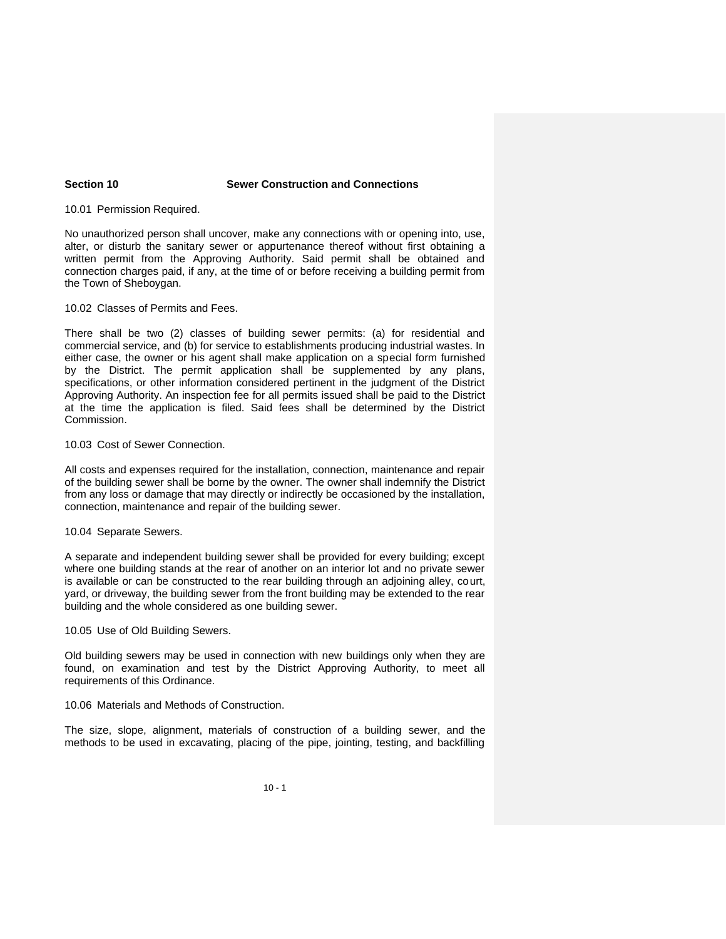#### **Section 10 Sewer Construction and Connections**

10.01 Permission Required.

No unauthorized person shall uncover, make any connections with or opening into, use, alter, or disturb the sanitary sewer or appurtenance thereof without first obtaining a written permit from the Approving Authority. Said permit shall be obtained and connection charges paid, if any, at the time of or before receiving a building permit from the Town of Sheboygan.

10.02 Classes of Permits and Fees.

There shall be two (2) classes of building sewer permits: (a) for residential and commercial service, and (b) for service to establishments producing industrial wastes. In either case, the owner or his agent shall make application on a special form furnished by the District. The permit application shall be supplemented by any plans, specifications, or other information considered pertinent in the judgment of the District Approving Authority. An inspection fee for all permits issued shall be paid to the District at the time the application is filed. Said fees shall be determined by the District Commission.

10.03 Cost of Sewer Connection.

All costs and expenses required for the installation, connection, maintenance and repair of the building sewer shall be borne by the owner. The owner shall indemnify the District from any loss or damage that may directly or indirectly be occasioned by the installation, connection, maintenance and repair of the building sewer.

#### 10.04 Separate Sewers.

A separate and independent building sewer shall be provided for every building; except where one building stands at the rear of another on an interior lot and no private sewer is available or can be constructed to the rear building through an adjoining alley, court, yard, or driveway, the building sewer from the front building may be extended to the rear building and the whole considered as one building sewer.

10.05 Use of Old Building Sewers.

Old building sewers may be used in connection with new buildings only when they are found, on examination and test by the District Approving Authority, to meet all requirements of this Ordinance.

10.06 Materials and Methods of Construction.

The size, slope, alignment, materials of construction of a building sewer, and the methods to be used in excavating, placing of the pipe, jointing, testing, and backfilling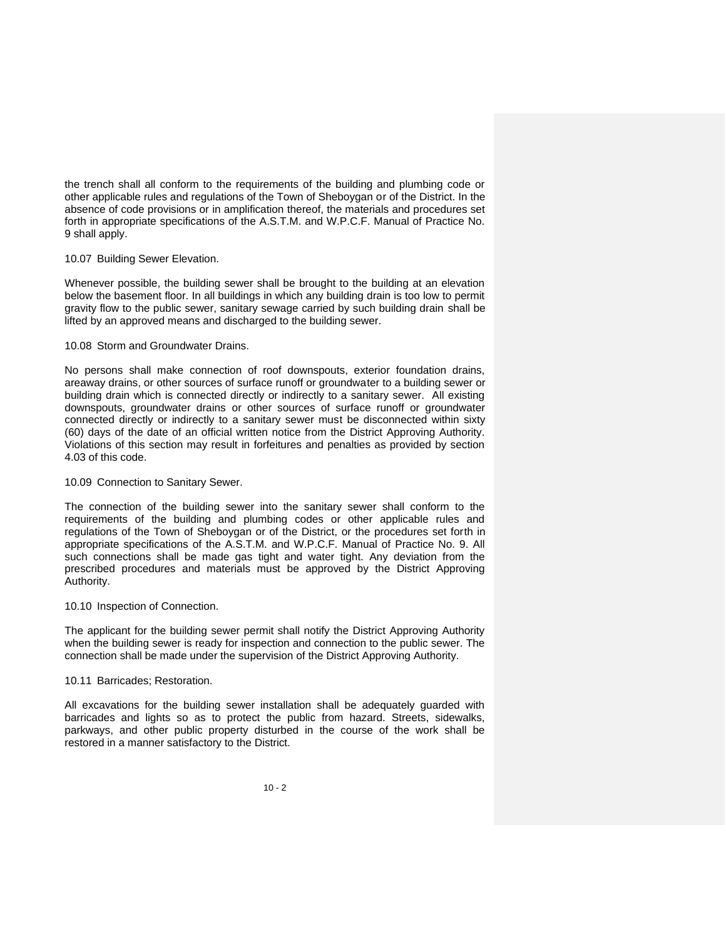the trench shall all conform to the requirements of the building and plumbing code or other applicable rules and regulations of the Town of Sheboygan or of the District. In the absence of code provisions or in amplification thereof, the materials and procedures set forth in appropriate specifications of the A.S.T.M. and W.P.C.F. Manual of Practice No. 9 shall apply.

#### 10.07 Building Sewer Elevation.

Whenever possible, the building sewer shall be brought to the building at an elevation below the basement floor. In all buildings in which any building drain is too low to permit gravity flow to the public sewer, sanitary sewage carried by such building drain shall be lifted by an approved means and discharged to the building sewer.

### 10.08 Storm and Groundwater Drains.

No persons shall make connection of roof downspouts, exterior foundation drains, areaway drains, or other sources of surface runoff or groundwater to a building sewer or building drain which is connected directly or indirectly to a sanitary sewer. All existing downspouts, groundwater drains or other sources of surface runoff or groundwater connected directly or indirectly to a sanitary sewer must be disconnected within sixty (60) days of the date of an official written notice from the District Approving Authority. Violations of this section may result in forfeitures and penalties as provided by section 4.03 of this code.

#### 10.09 Connection to Sanitary Sewer.

The connection of the building sewer into the sanitary sewer shall conform to the requirements of the building and plumbing codes or other applicable rules and regulations of the Town of Sheboygan or of the District, or the procedures set forth in appropriate specifications of the A.S.T.M. and W.P.C.F. Manual of Practice No. 9. All such connections shall be made gas tight and water tight. Any deviation from the prescribed procedures and materials must be approved by the District Approving Authority.

### 10.10 Inspection of Connection.

The applicant for the building sewer permit shall notify the District Approving Authority when the building sewer is ready for inspection and connection to the public sewer. The connection shall be made under the supervision of the District Approving Authority.

#### 10.11 Barricades; Restoration.

All excavations for the building sewer installation shall be adequately guarded with barricades and lights so as to protect the public from hazard. Streets, sidewalks, parkways, and other public property disturbed in the course of the work shall be restored in a manner satisfactory to the District.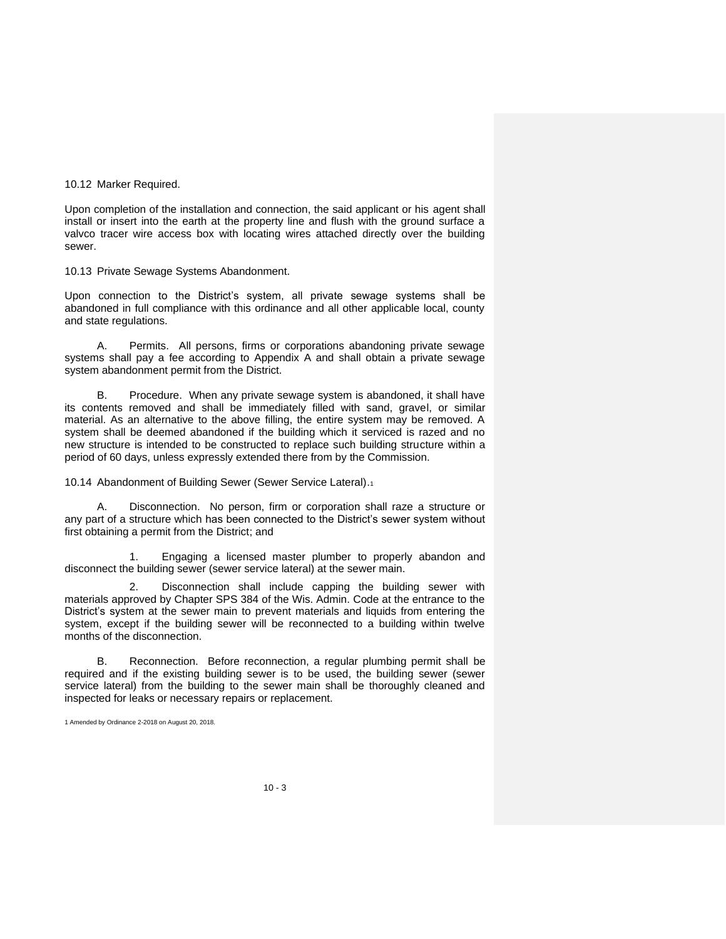10.12 Marker Required.

Upon completion of the installation and connection, the said applicant or his agent shall install or insert into the earth at the property line and flush with the ground surface a valvco tracer wire access box with locating wires attached directly over the building sewer.

10.13 Private Sewage Systems Abandonment.

Upon connection to the District's system, all private sewage systems shall be abandoned in full compliance with this ordinance and all other applicable local, county and state regulations.

A. Permits. All persons, firms or corporations abandoning private sewage systems shall pay a fee according to Appendix A and shall obtain a private sewage system abandonment permit from the District.

B. Procedure. When any private sewage system is abandoned, it shall have its contents removed and shall be immediately filled with sand, gravel, or similar material. As an alternative to the above filling, the entire system may be removed. A system shall be deemed abandoned if the building which it serviced is razed and no new structure is intended to be constructed to replace such building structure within a period of 60 days, unless expressly extended there from by the Commission.

10.14 Abandonment of Building Sewer (Sewer Service Lateral).<sup>1</sup>

A. Disconnection. No person, firm or corporation shall raze a structure or any part of a structure which has been connected to the District's sewer system without first obtaining a permit from the District; and

1. Engaging a licensed master plumber to properly abandon and disconnect the building sewer (sewer service lateral) at the sewer main.

2. Disconnection shall include capping the building sewer with materials approved by Chapter SPS 384 of the Wis. Admin. Code at the entrance to the District's system at the sewer main to prevent materials and liquids from entering the system, except if the building sewer will be reconnected to a building within twelve months of the disconnection.

B. Reconnection. Before reconnection, a regular plumbing permit shall be required and if the existing building sewer is to be used, the building sewer (sewer service lateral) from the building to the sewer main shall be thoroughly cleaned and inspected for leaks or necessary repairs or replacement.

1 Amended by Ordinance 2-2018 on August 20, 2018.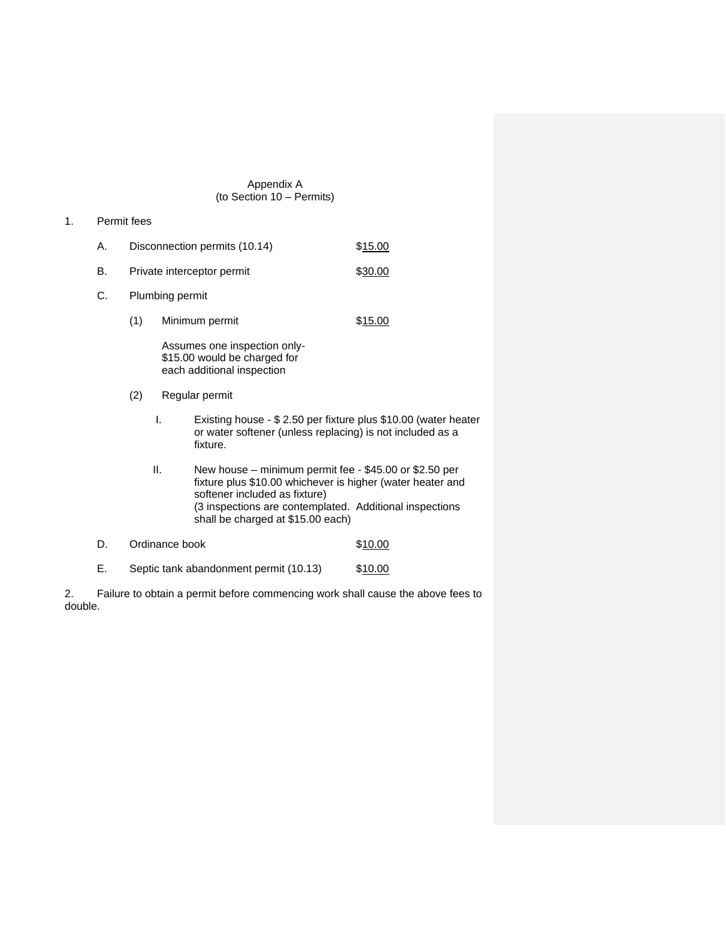#### Appendix A (to Section 10 – Permits)

- 1. Permit fees
	- A. Disconnection permits (10.14) \$15.00
	- B. Private interceptor permit  $$30.00$
	- C. Plumbing permit
		- (1) Minimum permit \$15.00

Assumes one inspection only- \$15.00 would be charged for each additional inspection

- (2) Regular permit
	- I. Existing house \$ 2.50 per fixture plus \$10.00 (water heater or water softener (unless replacing) is not included as a fixture.
	- II. New house minimum permit fee \$45.00 or \$2.50 per fixture plus \$10.00 whichever is higher (water heater and softener included as fixture) (3 inspections are contemplated. Additional inspections shall be charged at \$15.00 each)

# D. Ordinance book \$10.00

E. Septic tank abandonment permit (10.13) \$10.00

2. Failure to obtain a permit before commencing work shall cause the above fees to double.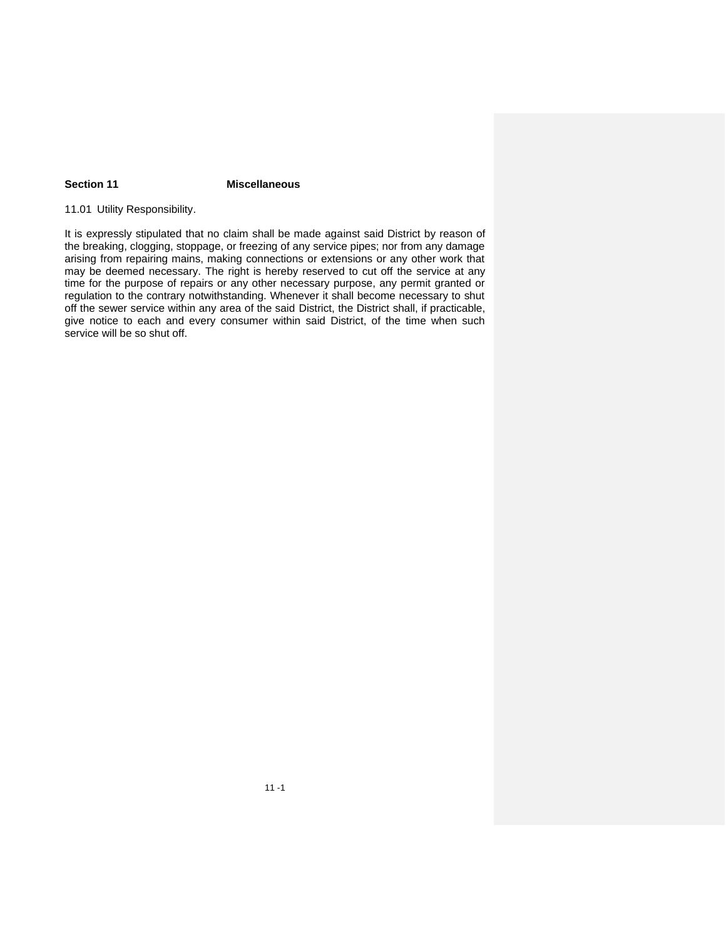# **Section 11 Miscellaneous**

# 11.01 Utility Responsibility.

It is expressly stipulated that no claim shall be made against said District by reason of the breaking, clogging, stoppage, or freezing of any service pipes; nor from any damage arising from repairing mains, making connections or extensions or any other work that may be deemed necessary. The right is hereby reserved to cut off the service at any time for the purpose of repairs or any other necessary purpose, any permit granted or regulation to the contrary notwithstanding. Whenever it shall become necessary to shut off the sewer service within any area of the said District, the District shall, if practicable, give notice to each and every consumer within said District, of the time when such service will be so shut off.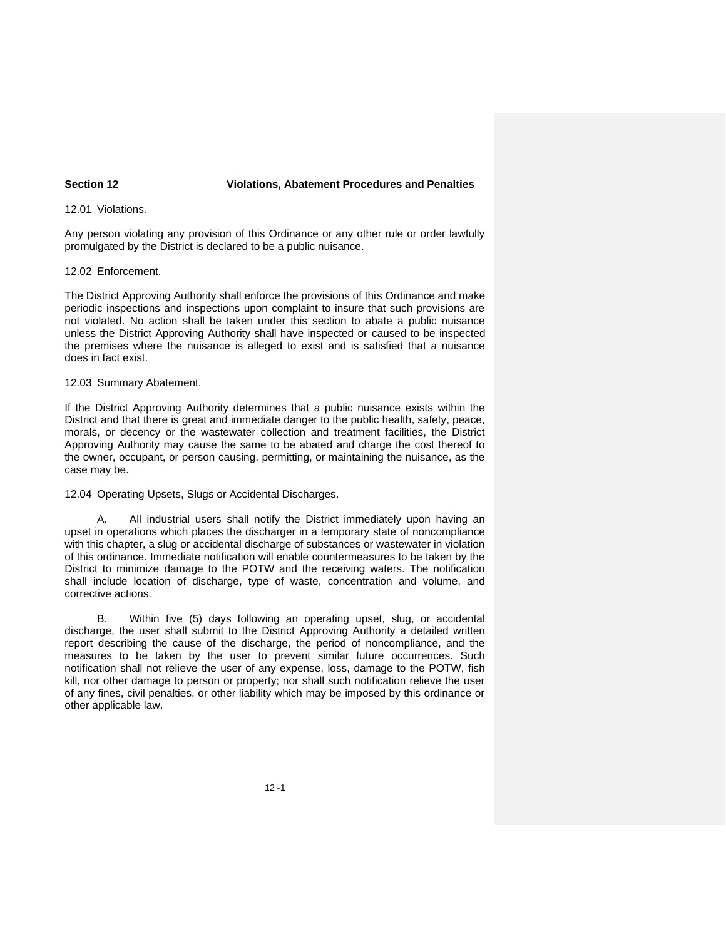#### **Section 12 Violations, Abatement Procedures and Penalties**

#### 12.01 Violations.

Any person violating any provision of this Ordinance or any other rule or order lawfully promulgated by the District is declared to be a public nuisance.

#### 12.02 Enforcement.

The District Approving Authority shall enforce the provisions of this Ordinance and make periodic inspections and inspections upon complaint to insure that such provisions are not violated. No action shall be taken under this section to abate a public nuisance unless the District Approving Authority shall have inspected or caused to be inspected the premises where the nuisance is alleged to exist and is satisfied that a nuisance does in fact exist.

#### 12.03 Summary Abatement.

If the District Approving Authority determines that a public nuisance exists within the District and that there is great and immediate danger to the public health, safety, peace, morals, or decency or the wastewater collection and treatment facilities, the District Approving Authority may cause the same to be abated and charge the cost thereof to the owner, occupant, or person causing, permitting, or maintaining the nuisance, as the case may be.

12.04 Operating Upsets, Slugs or Accidental Discharges.

All industrial users shall notify the District immediately upon having an upset in operations which places the discharger in a temporary state of noncompliance with this chapter, a slug or accidental discharge of substances or wastewater in violation of this ordinance. Immediate notification will enable countermeasures to be taken by the District to minimize damage to the POTW and the receiving waters. The notification shall include location of discharge, type of waste, concentration and volume, and corrective actions.

B. Within five (5) days following an operating upset, slug, or accidental discharge, the user shall submit to the District Approving Authority a detailed written report describing the cause of the discharge, the period of noncompliance, and the measures to be taken by the user to prevent similar future occurrences. Such notification shall not relieve the user of any expense, loss, damage to the POTW, fish kill, nor other damage to person or property; nor shall such notification relieve the user of any fines, civil penalties, or other liability which may be imposed by this ordinance or other applicable law.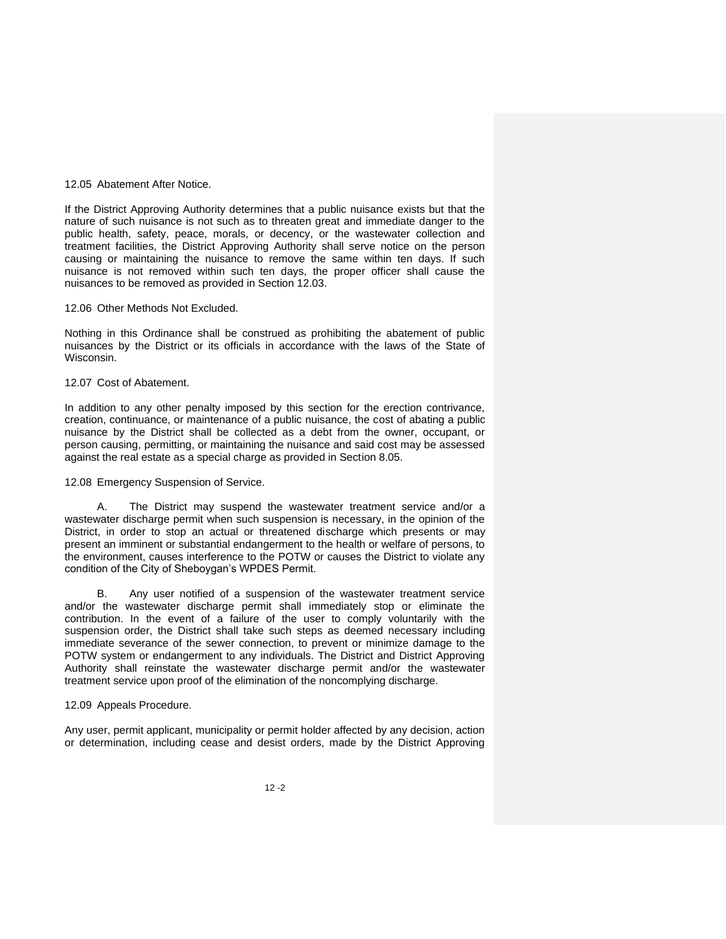#### 12.05 Abatement After Notice.

If the District Approving Authority determines that a public nuisance exists but that the nature of such nuisance is not such as to threaten great and immediate danger to the public health, safety, peace, morals, or decency, or the wastewater collection and treatment facilities, the District Approving Authority shall serve notice on the person causing or maintaining the nuisance to remove the same within ten days. If such nuisance is not removed within such ten days, the proper officer shall cause the nuisances to be removed as provided in Section 12.03.

#### 12.06 Other Methods Not Excluded.

Nothing in this Ordinance shall be construed as prohibiting the abatement of public nuisances by the District or its officials in accordance with the laws of the State of Wisconsin.

#### 12.07 Cost of Abatement.

In addition to any other penalty imposed by this section for the erection contrivance, creation, continuance, or maintenance of a public nuisance, the cost of abating a public nuisance by the District shall be collected as a debt from the owner, occupant, or person causing, permitting, or maintaining the nuisance and said cost may be assessed against the real estate as a special charge as provided in Section 8.05.

#### 12.08 Emergency Suspension of Service.

A. The District may suspend the wastewater treatment service and/or a wastewater discharge permit when such suspension is necessary, in the opinion of the District, in order to stop an actual or threatened discharge which presents or may present an imminent or substantial endangerment to the health or welfare of persons, to the environment, causes interference to the POTW or causes the District to violate any condition of the City of Sheboygan's WPDES Permit.

B. Any user notified of a suspension of the wastewater treatment service and/or the wastewater discharge permit shall immediately stop or eliminate the contribution. In the event of a failure of the user to comply voluntarily with the suspension order, the District shall take such steps as deemed necessary including immediate severance of the sewer connection, to prevent or minimize damage to the POTW system or endangerment to any individuals. The District and District Approving Authority shall reinstate the wastewater discharge permit and/or the wastewater treatment service upon proof of the elimination of the noncomplying discharge.

#### 12.09 Appeals Procedure.

Any user, permit applicant, municipality or permit holder affected by any decision, action or determination, including cease and desist orders, made by the District Approving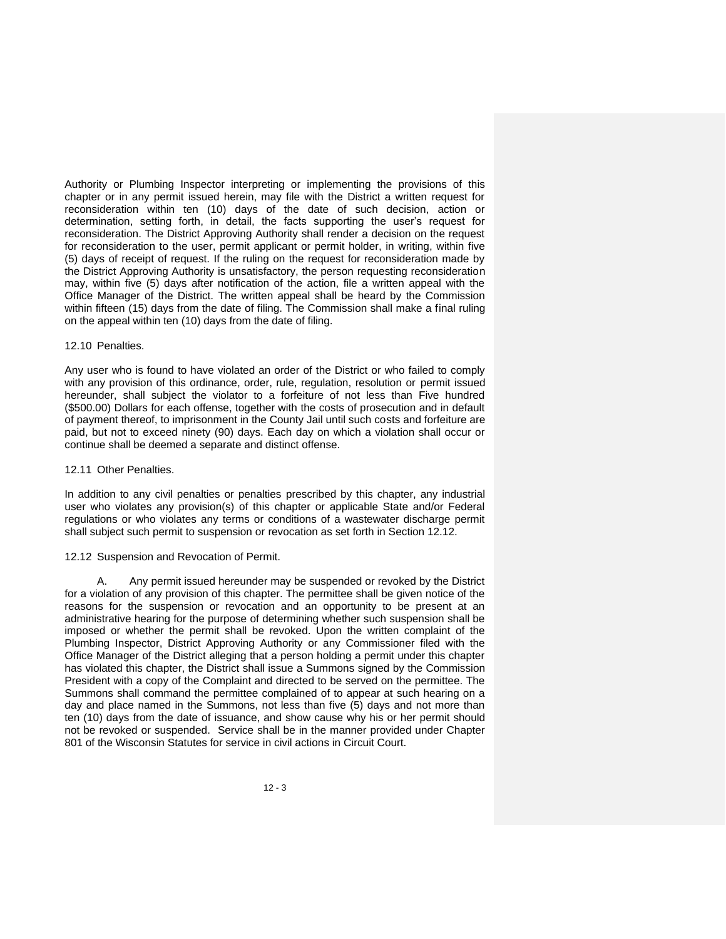Authority or Plumbing Inspector interpreting or implementing the provisions of this chapter or in any permit issued herein, may file with the District a written request for reconsideration within ten (10) days of the date of such decision, action or determination, setting forth, in detail, the facts supporting the user's request for reconsideration. The District Approving Authority shall render a decision on the request for reconsideration to the user, permit applicant or permit holder, in writing, within five (5) days of receipt of request. If the ruling on the request for reconsideration made by the District Approving Authority is unsatisfactory, the person requesting reconsideration may, within five (5) days after notification of the action, file a written appeal with the Office Manager of the District. The written appeal shall be heard by the Commission within fifteen (15) days from the date of filing. The Commission shall make a final ruling on the appeal within ten (10) days from the date of filing.

#### 12.10 Penalties.

Any user who is found to have violated an order of the District or who failed to comply with any provision of this ordinance, order, rule, regulation, resolution or permit issued hereunder, shall subject the violator to a forfeiture of not less than Five hundred (\$500.00) Dollars for each offense, together with the costs of prosecution and in default of payment thereof, to imprisonment in the County Jail until such costs and forfeiture are paid, but not to exceed ninety (90) days. Each day on which a violation shall occur or continue shall be deemed a separate and distinct offense.

#### 12.11 Other Penalties.

In addition to any civil penalties or penalties prescribed by this chapter, any industrial user who violates any provision(s) of this chapter or applicable State and/or Federal regulations or who violates any terms or conditions of a wastewater discharge permit shall subject such permit to suspension or revocation as set forth in Section 12.12.

#### 12.12 Suspension and Revocation of Permit.

A. Any permit issued hereunder may be suspended or revoked by the District for a violation of any provision of this chapter. The permittee shall be given notice of the reasons for the suspension or revocation and an opportunity to be present at an administrative hearing for the purpose of determining whether such suspension shall be imposed or whether the permit shall be revoked. Upon the written complaint of the Plumbing Inspector, District Approving Authority or any Commissioner filed with the Office Manager of the District alleging that a person holding a permit under this chapter has violated this chapter, the District shall issue a Summons signed by the Commission President with a copy of the Complaint and directed to be served on the permittee. The Summons shall command the permittee complained of to appear at such hearing on a day and place named in the Summons, not less than five (5) days and not more than ten (10) days from the date of issuance, and show cause why his or her permit should not be revoked or suspended. Service shall be in the manner provided under Chapter 801 of the Wisconsin Statutes for service in civil actions in Circuit Court.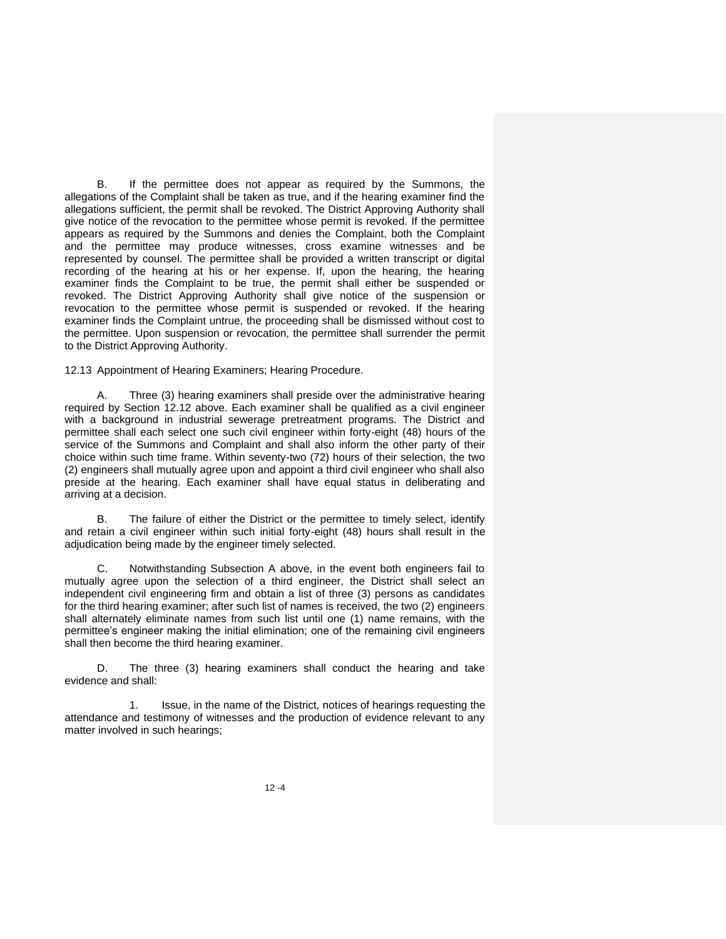B. If the permittee does not appear as required by the Summons, the allegations of the Complaint shall be taken as true, and if the hearing examiner find the allegations sufficient, the permit shall be revoked. The District Approving Authority shall give notice of the revocation to the permittee whose permit is revoked. If the permittee appears as required by the Summons and denies the Complaint, both the Complaint and the permittee may produce witnesses, cross examine witnesses and be represented by counsel. The permittee shall be provided a written transcript or digital recording of the hearing at his or her expense. If, upon the hearing, the hearing examiner finds the Complaint to be true, the permit shall either be suspended or revoked. The District Approving Authority shall give notice of the suspension or revocation to the permittee whose permit is suspended or revoked. If the hearing examiner finds the Complaint untrue, the proceeding shall be dismissed without cost to the permittee. Upon suspension or revocation, the permittee shall surrender the permit to the District Approving Authority.

12.13 Appointment of Hearing Examiners; Hearing Procedure.

A. Three (3) hearing examiners shall preside over the administrative hearing required by Section 12.12 above. Each examiner shall be qualified as a civil engineer with a background in industrial sewerage pretreatment programs. The District and permittee shall each select one such civil engineer within forty-eight (48) hours of the service of the Summons and Complaint and shall also inform the other party of their choice within such time frame. Within seventy-two (72) hours of their selection, the two (2) engineers shall mutually agree upon and appoint a third civil engineer who shall also preside at the hearing. Each examiner shall have equal status in deliberating and arriving at a decision.

B. The failure of either the District or the permittee to timely select, identify and retain a civil engineer within such initial forty-eight (48) hours shall result in the adjudication being made by the engineer timely selected.

Notwithstanding Subsection A above, in the event both engineers fail to mutually agree upon the selection of a third engineer, the District shall select an independent civil engineering firm and obtain a list of three (3) persons as candidates for the third hearing examiner; after such list of names is received, the two (2) engineers shall alternately eliminate names from such list until one (1) name remains, with the permittee's engineer making the initial elimination; one of the remaining civil engineers shall then become the third hearing examiner.

D. The three (3) hearing examiners shall conduct the hearing and take evidence and shall:

1. Issue, in the name of the District, notices of hearings requesting the attendance and testimony of witnesses and the production of evidence relevant to any matter involved in such hearings;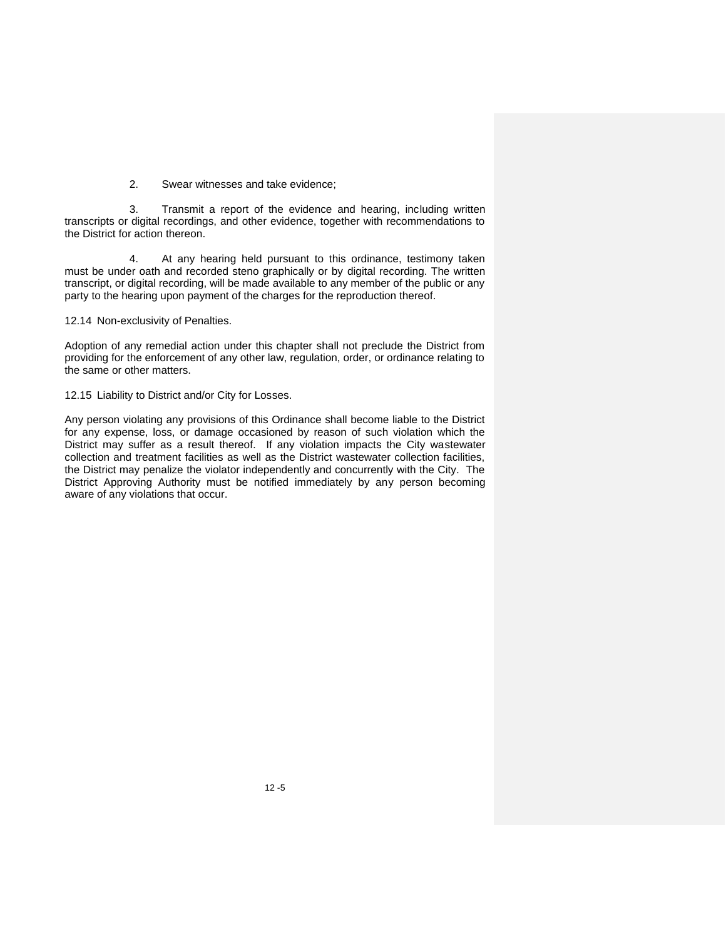2. Swear witnesses and take evidence;

3. Transmit a report of the evidence and hearing, including written transcripts or digital recordings, and other evidence, together with recommendations to the District for action thereon.

4. At any hearing held pursuant to this ordinance, testimony taken must be under oath and recorded steno graphically or by digital recording. The written transcript, or digital recording, will be made available to any member of the public or any party to the hearing upon payment of the charges for the reproduction thereof.

12.14 Non-exclusivity of Penalties.

Adoption of any remedial action under this chapter shall not preclude the District from providing for the enforcement of any other law, regulation, order, or ordinance relating to the same or other matters.

12.15 Liability to District and/or City for Losses.

Any person violating any provisions of this Ordinance shall become liable to the District for any expense, loss, or damage occasioned by reason of such violation which the District may suffer as a result thereof. If any violation impacts the City wastewater collection and treatment facilities as well as the District wastewater collection facilities, the District may penalize the violator independently and concurrently with the City. The District Approving Authority must be notified immediately by any person becoming aware of any violations that occur.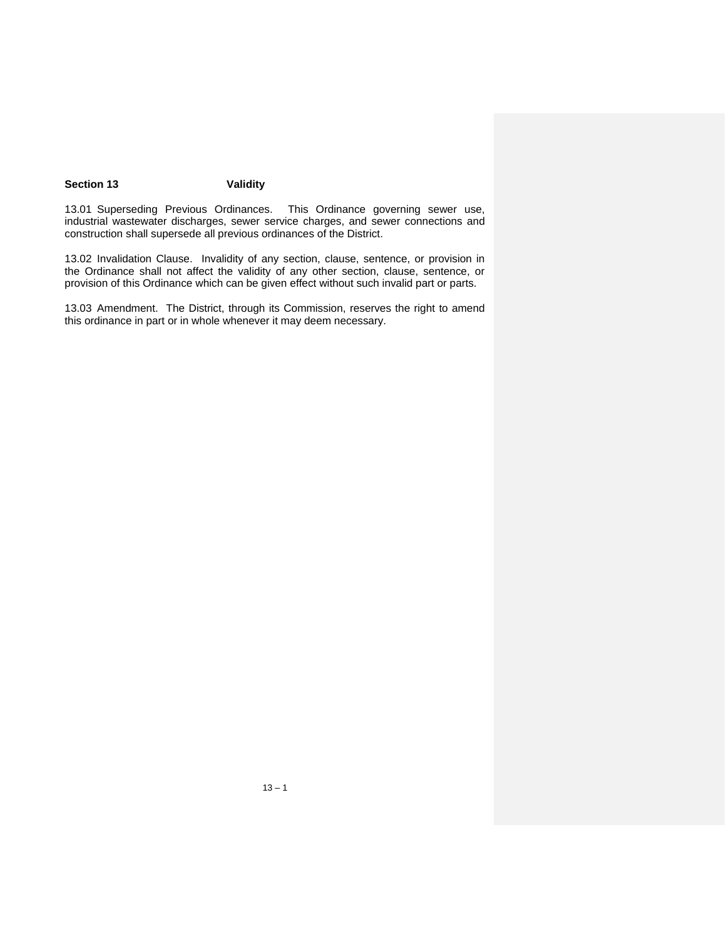# **Section 13 Validity**

13.01 Superseding Previous Ordinances. This Ordinance governing sewer use, industrial wastewater discharges, sewer service charges, and sewer connections and construction shall supersede all previous ordinances of the District.

13.02 Invalidation Clause. Invalidity of any section, clause, sentence, or provision in the Ordinance shall not affect the validity of any other section, clause, sentence, or provision of this Ordinance which can be given effect without such invalid part or parts.

13.03 Amendment. The District, through its Commission, reserves the right to amend this ordinance in part or in whole whenever it may deem necessary.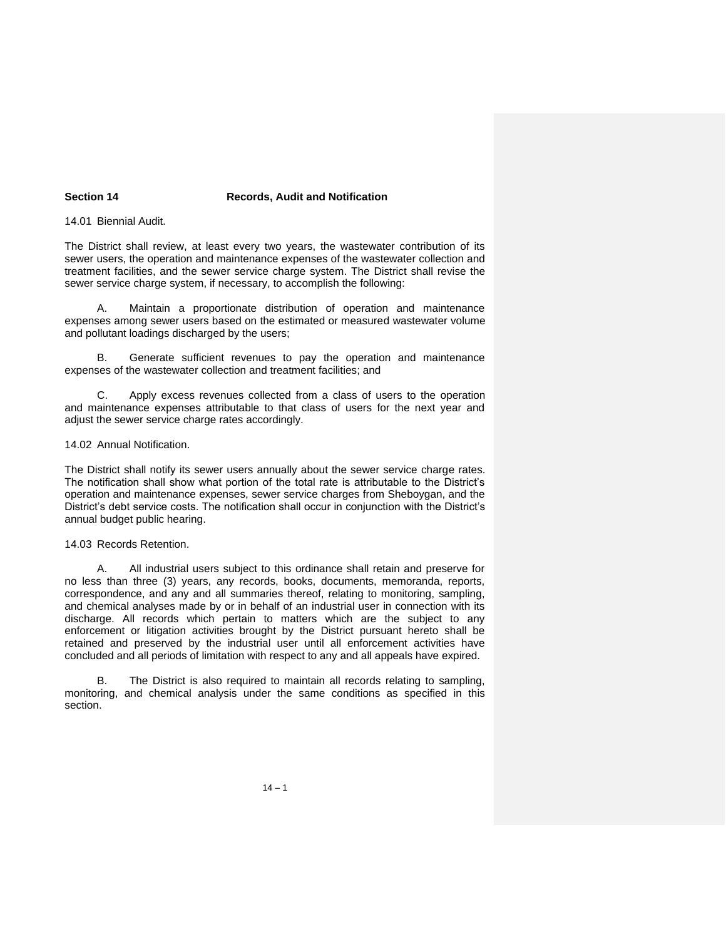## **Section 14 Records, Audit and Notification**

#### 14.01 Biennial Audit.

The District shall review, at least every two years, the wastewater contribution of its sewer users, the operation and maintenance expenses of the wastewater collection and treatment facilities, and the sewer service charge system. The District shall revise the sewer service charge system, if necessary, to accomplish the following:

A. Maintain a proportionate distribution of operation and maintenance expenses among sewer users based on the estimated or measured wastewater volume and pollutant loadings discharged by the users;

B. Generate sufficient revenues to pay the operation and maintenance expenses of the wastewater collection and treatment facilities; and

C. Apply excess revenues collected from a class of users to the operation and maintenance expenses attributable to that class of users for the next year and adjust the sewer service charge rates accordingly.

#### 14.02 Annual Notification.

The District shall notify its sewer users annually about the sewer service charge rates. The notification shall show what portion of the total rate is attributable to the District's operation and maintenance expenses, sewer service charges from Sheboygan, and the District's debt service costs. The notification shall occur in conjunction with the District's annual budget public hearing.

#### 14.03 Records Retention.

A. All industrial users subject to this ordinance shall retain and preserve for no less than three (3) years, any records, books, documents, memoranda, reports, correspondence, and any and all summaries thereof, relating to monitoring, sampling, and chemical analyses made by or in behalf of an industrial user in connection with its discharge. All records which pertain to matters which are the subject to any enforcement or litigation activities brought by the District pursuant hereto shall be retained and preserved by the industrial user until all enforcement activities have concluded and all periods of limitation with respect to any and all appeals have expired.

B. The District is also required to maintain all records relating to sampling, monitoring, and chemical analysis under the same conditions as specified in this section.

 $14 - 1$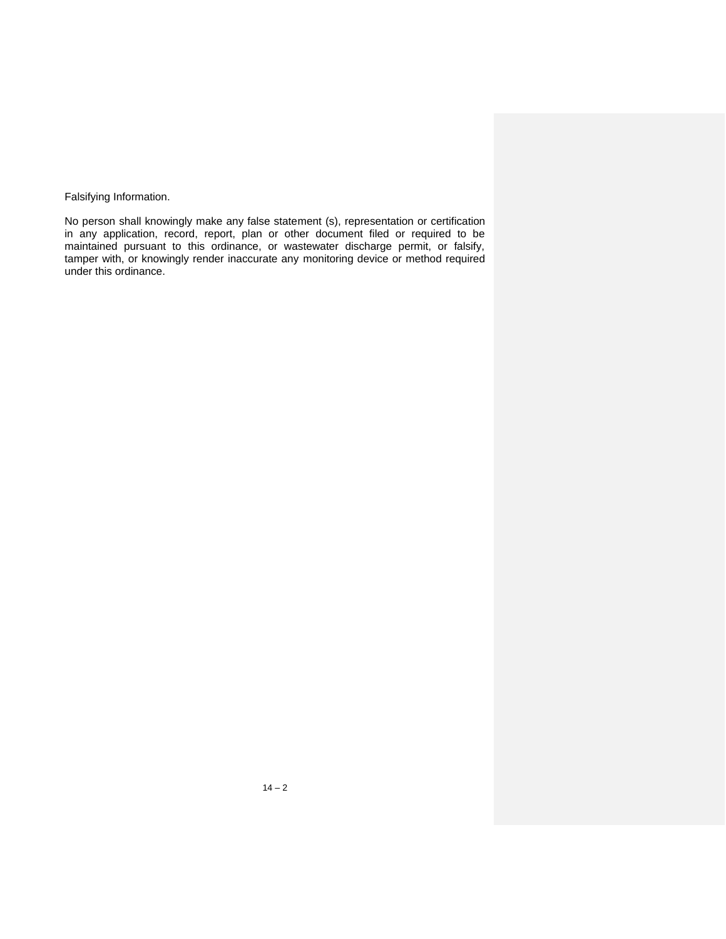Falsifying Information.

No person shall knowingly make any false statement (s), representation or certification in any application, record, report, plan or other document filed or required to be maintained pursuant to this ordinance, or wastewater discharge permit, or falsify, tamper with, or knowingly render inaccurate any monitoring device or method required under this ordinance.